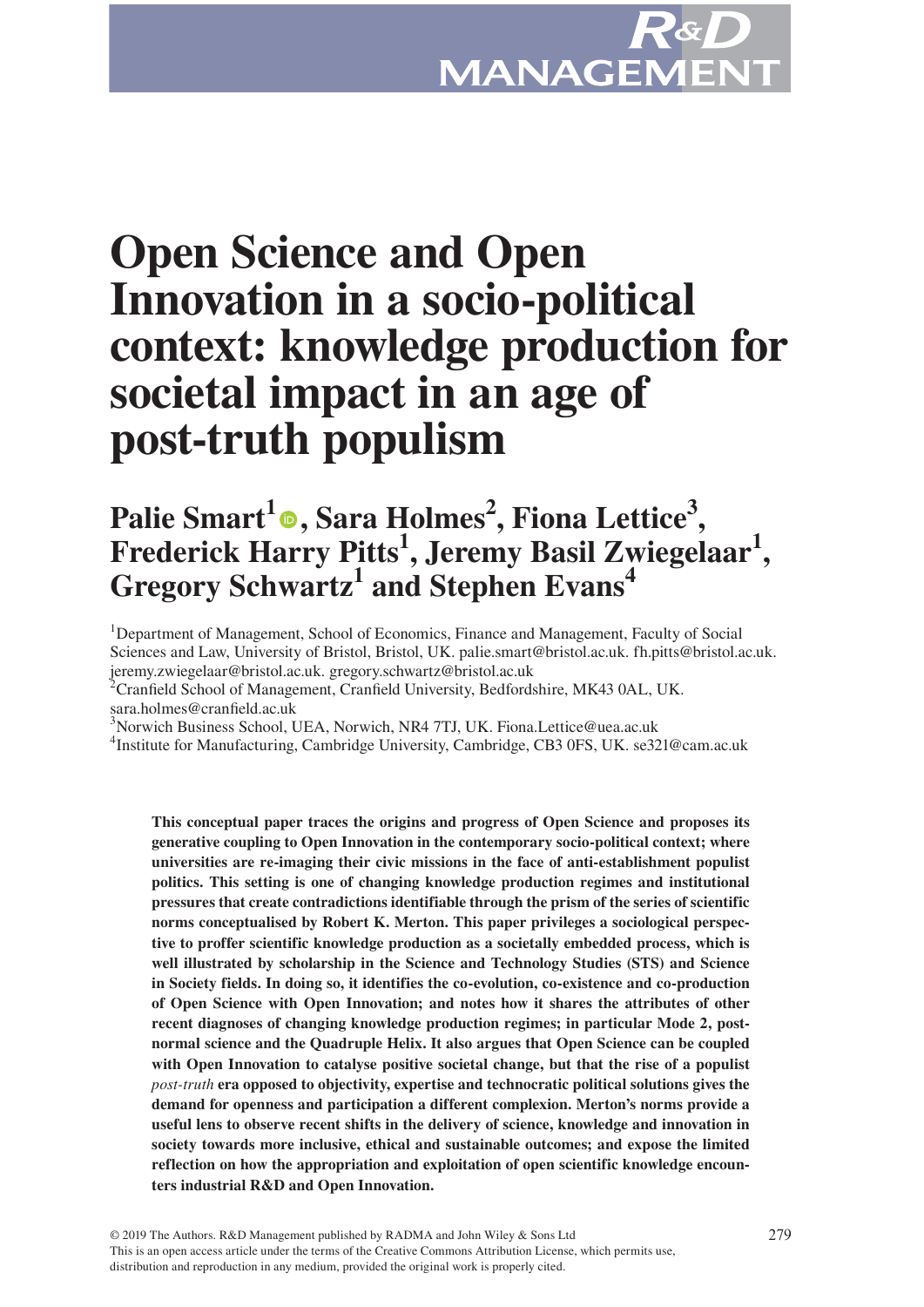# **Open Science and Open Innovation in a socio-political context: knowledge production for societal impact in an age of post-truth populism**

# **Palie Smart<sup>1</sup><sup>®</sup>[,](https://orcid.org/0000-0002-8902-3369) Sara Holmes<sup>2</sup>, Fiona Lettice<sup>3</sup>, Frederick Harry Pitts<sup>1</sup> , Jeremy Basil Zwiegelaar1 , Gregory Schwartz<sup>1</sup> and Stephen Evans4**

<sup>1</sup>Department of Management, School of Economics, Finance and Management, Faculty of Social Sciences and Law, University of Bristol, Bristol, UK. palie.smart@bristol.ac.uk. fh.pitts@bristol.ac.uk.

jeremy.zwiegelaar@bristol.ac.uk. gregory.schwartz@bristol.ac.uk 2 Cranfield School of Management, Cranfield University, Bedfordshire, MK43 0AL, UK. sara.holmes@cranfield.ac.uk

3 Norwich Business School, UEA, Norwich, NR4 7TJ, UK. Fiona.Lettice@uea.ac.uk

<sup>4</sup>Institute for Manufacturing, Cambridge University, Cambridge, CB3 0FS, UK. se321@cam.ac.uk

**This conceptual paper traces the origins and progress of Open Science and proposes its generative coupling to Open Innovation in the contemporary socio-political context; where universities are re-imaging their civic missions in the face of anti-establishment populist politics. This setting is one of changing knowledge production regimes and institutional pressures that create contradictions identifiable through the prism of the series of scientific norms conceptualised by Robert K. Merton. This paper privileges a sociological perspective to proffer scientific knowledge production as a societally embedded process, which is well illustrated by scholarship in the Science and Technology Studies (STS) and Science in Society fields. In doing so, it identifies the co-evolution, co-existence and co-production of Open Science with Open Innovation; and notes how it shares the attributes of other recent diagnoses of changing knowledge production regimes; in particular Mode 2, postnormal science and the Quadruple Helix. It also argues that Open Science can be coupled with Open Innovation to catalyse positive societal change, but that the rise of a populist**  *post-truth* **era opposed to objectivity, expertise and technocratic political solutions gives the demand for openness and participation a different complexion. Merton's norms provide a useful lens to observe recent shifts in the delivery of science, knowledge and innovation in society towards more inclusive, ethical and sustainable outcomes; and expose the limited reflection on how the appropriation and exploitation of open scientific knowledge encounters industrial R&D and Open Innovation.**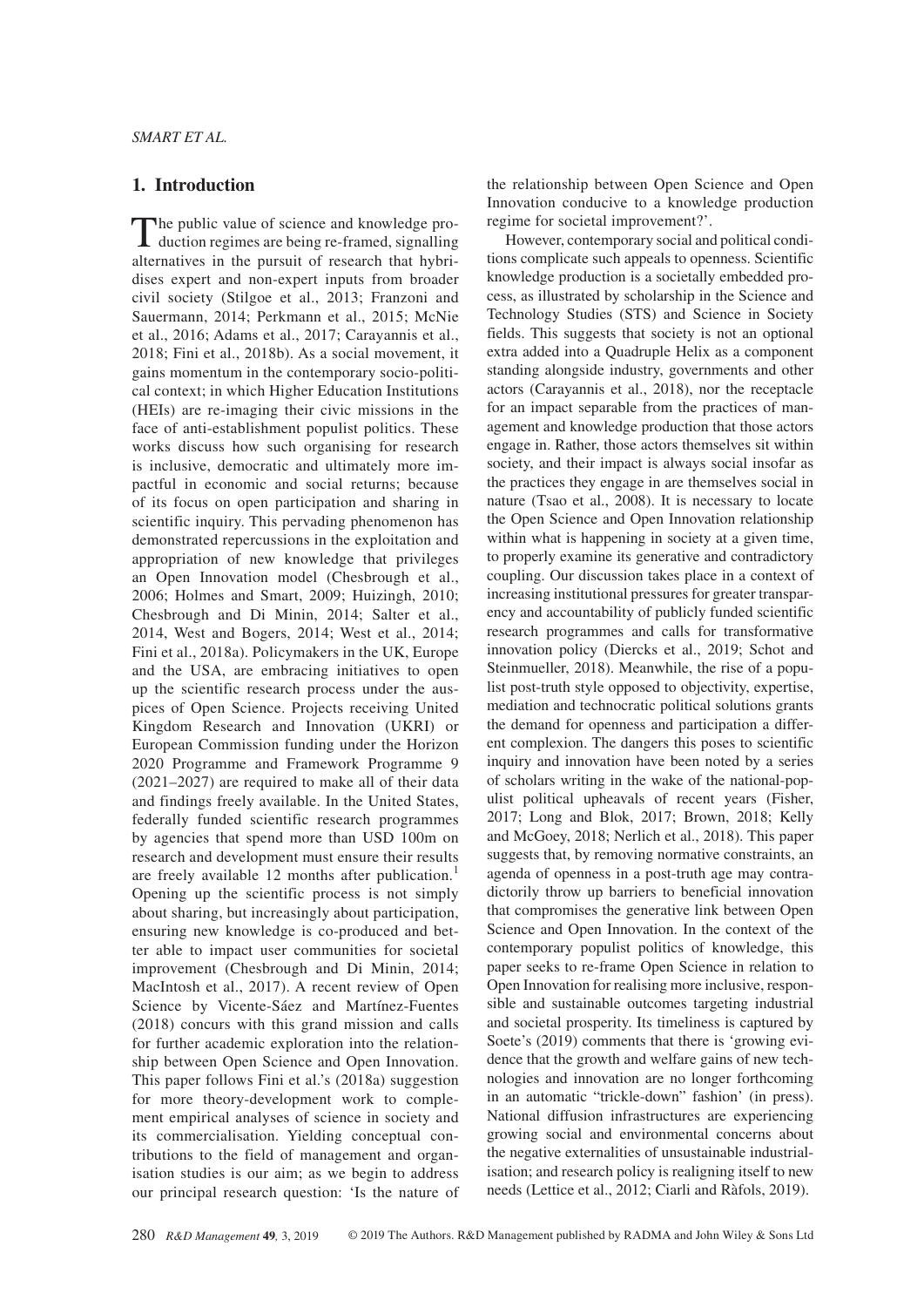# **1. Introduction**

The public value of science and knowledge production regimes are being re-framed, signalling alternatives in the pursuit of research that hybridises expert and non-expert inputs from broader civil society (Stilgoe et al., 2013; Franzoni and Sauermann, 2014; Perkmann et al., 2015; McNie et al., 2016; Adams et al., 2017; Carayannis et al., 2018; Fini et al., 2018b). As a social movement, it gains momentum in the contemporary socio-political context; in which Higher Education Institutions (HEIs) are re-imaging their civic missions in the face of anti-establishment populist politics. These works discuss how such organising for research is inclusive, democratic and ultimately more impactful in economic and social returns; because of its focus on open participation and sharing in scientific inquiry. This pervading phenomenon has demonstrated repercussions in the exploitation and appropriation of new knowledge that privileges an Open Innovation model (Chesbrough et al., 2006; Holmes and Smart, 2009; Huizingh, 2010; Chesbrough and Di Minin, 2014; Salter et al., 2014, West and Bogers, 2014; West et al., 2014; Fini et al., 2018a). Policymakers in the UK, Europe and the USA, are embracing initiatives to open up the scientific research process under the auspices of Open Science. Projects receiving United Kingdom Research and Innovation (UKRI) or European Commission funding under the Horizon 2020 Programme and Framework Programme 9 (2021–2027) are required to make all of their data and findings freely available. In the United States, federally funded scientific research programmes by agencies that spend more than USD 100m on research and development must ensure their results are freely available 12 months after publication.<sup>1</sup> Opening up the scientific process is not simply about sharing, but increasingly about participation, ensuring new knowledge is co-produced and better able to impact user communities for societal improvement (Chesbrough and Di Minin, 2014; MacIntosh et al., 2017). A recent review of Open Science by Vicente-Sáez and Martínez-Fuentes (2018) concurs with this grand mission and calls for further academic exploration into the relationship between Open Science and Open Innovation. This paper follows Fini et al.'s (2018a) suggestion for more theory-development work to complement empirical analyses of science in society and its commercialisation. Yielding conceptual contributions to the field of management and organisation studies is our aim; as we begin to address our principal research question: 'Is the nature of the relationship between Open Science and Open Innovation conducive to a knowledge production regime for societal improvement?'.

However, contemporary social and political conditions complicate such appeals to openness. Scientific knowledge production is a societally embedded process, as illustrated by scholarship in the Science and Technology Studies (STS) and Science in Society fields. This suggests that society is not an optional extra added into a Quadruple Helix as a component standing alongside industry, governments and other actors (Carayannis et al., 2018), nor the receptacle for an impact separable from the practices of management and knowledge production that those actors engage in. Rather, those actors themselves sit within society, and their impact is always social insofar as the practices they engage in are themselves social in nature (Tsao et al., 2008). It is necessary to locate the Open Science and Open Innovation relationship within what is happening in society at a given time, to properly examine its generative and contradictory coupling. Our discussion takes place in a context of increasing institutional pressures for greater transparency and accountability of publicly funded scientific research programmes and calls for transformative innovation policy (Diercks et al., 2019; Schot and Steinmueller, 2018). Meanwhile, the rise of a populist post-truth style opposed to objectivity, expertise, mediation and technocratic political solutions grants the demand for openness and participation a different complexion. The dangers this poses to scientific inquiry and innovation have been noted by a series of scholars writing in the wake of the national-populist political upheavals of recent years (Fisher, 2017; Long and Blok, 2017; Brown, 2018; Kelly and McGoey, 2018; Nerlich et al., 2018). This paper suggests that, by removing normative constraints, an agenda of openness in a post-truth age may contradictorily throw up barriers to beneficial innovation that compromises the generative link between Open Science and Open Innovation. In the context of the contemporary populist politics of knowledge, this paper seeks to re-frame Open Science in relation to Open Innovation for realising more inclusive, responsible and sustainable outcomes targeting industrial and societal prosperity. Its timeliness is captured by Soete's (2019) comments that there is 'growing evidence that the growth and welfare gains of new technologies and innovation are no longer forthcoming in an automatic "trickle-down" fashion' (in press). National diffusion infrastructures are experiencing growing social and environmental concerns about the negative externalities of unsustainable industrialisation; and research policy is realigning itself to new needs (Lettice et al., 2012; Ciarli and Ràfols, 2019).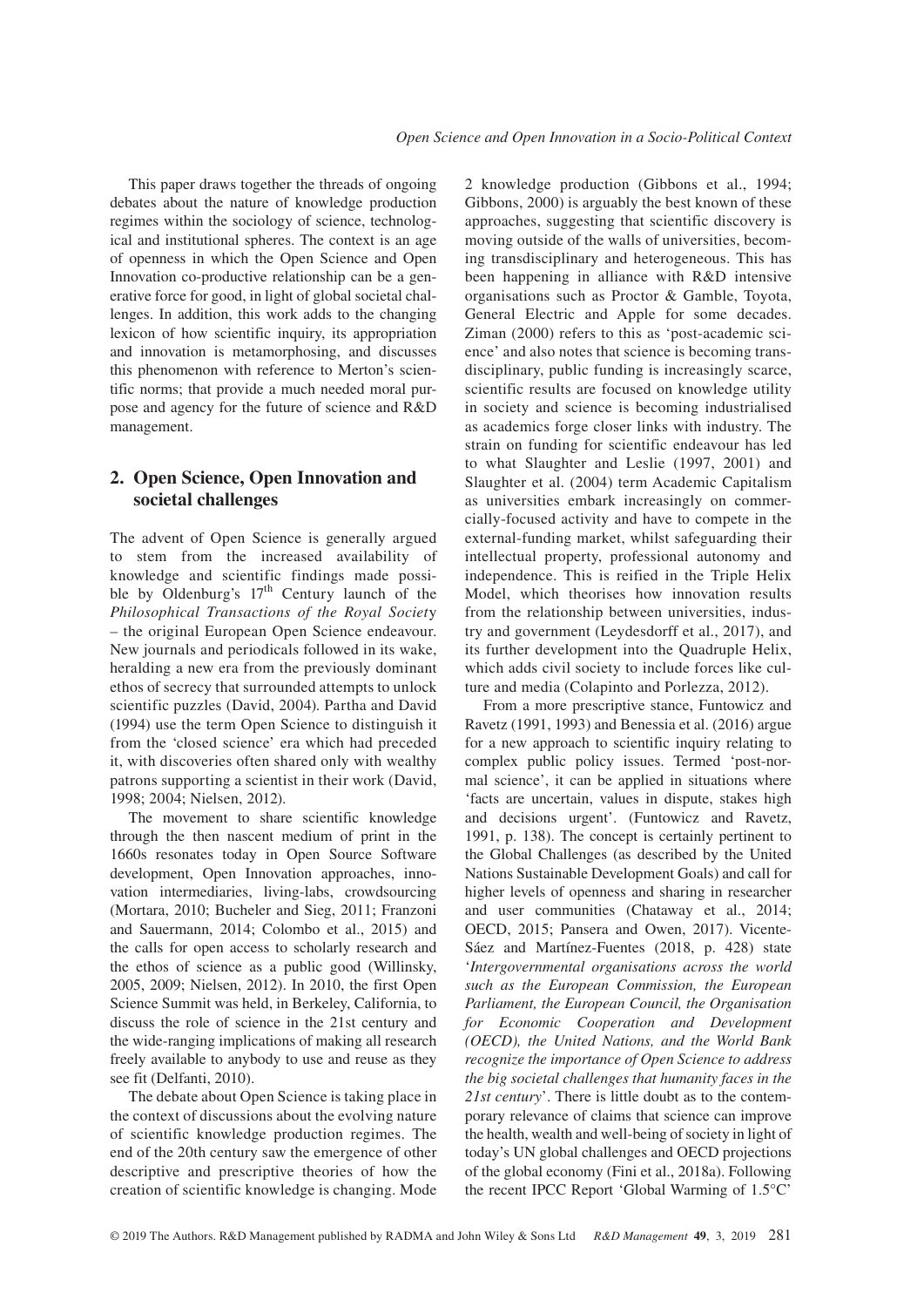This paper draws together the threads of ongoing debates about the nature of knowledge production regimes within the sociology of science, technological and institutional spheres. The context is an age of openness in which the Open Science and Open Innovation co-productive relationship can be a generative force for good, in light of global societal challenges. In addition, this work adds to the changing lexicon of how scientific inquiry, its appropriation and innovation is metamorphosing, and discusses this phenomenon with reference to Merton's scientific norms; that provide a much needed moral purpose and agency for the future of science and R&D management.

# **2. Open Science, Open Innovation and societal challenges**

The advent of Open Science is generally argued to stem from the increased availability of knowledge and scientific findings made possible by Oldenburg's  $17<sup>th</sup>$  Century launch of the *Philosophical Transactions of the Royal Societ*y – the original European Open Science endeavour. New journals and periodicals followed in its wake, heralding a new era from the previously dominant ethos of secrecy that surrounded attempts to unlock scientific puzzles (David, 2004). Partha and David (1994) use the term Open Science to distinguish it from the 'closed science' era which had preceded it, with discoveries often shared only with wealthy patrons supporting a scientist in their work (David, 1998; 2004; Nielsen, 2012).

The movement to share scientific knowledge through the then nascent medium of print in the 1660s resonates today in Open Source Software development, Open Innovation approaches, innovation intermediaries, living-labs, crowdsourcing (Mortara, 2010; Bucheler and Sieg, 2011; Franzoni and Sauermann, 2014; Colombo et al., 2015) and the calls for open access to scholarly research and the ethos of science as a public good (Willinsky, 2005, 2009; Nielsen, 2012). In 2010, the first Open Science Summit was held, in Berkeley, California, to discuss the role of science in the 21st century and the wide-ranging implications of making all research freely available to anybody to use and reuse as they see fit (Delfanti, 2010).

The debate about Open Science is taking place in the context of discussions about the evolving nature of scientific knowledge production regimes. The end of the 20th century saw the emergence of other descriptive and prescriptive theories of how the creation of scientific knowledge is changing. Mode 2 knowledge production (Gibbons et al., 1994; Gibbons, 2000) is arguably the best known of these approaches, suggesting that scientific discovery is moving outside of the walls of universities, becoming transdisciplinary and heterogeneous. This has been happening in alliance with R&D intensive organisations such as Proctor & Gamble, Toyota, General Electric and Apple for some decades. Ziman (2000) refers to this as 'post-academic science' and also notes that science is becoming transdisciplinary, public funding is increasingly scarce, scientific results are focused on knowledge utility in society and science is becoming industrialised as academics forge closer links with industry. The strain on funding for scientific endeavour has led to what Slaughter and Leslie (1997, 2001) and Slaughter et al. (2004) term Academic Capitalism as universities embark increasingly on commercially-focused activity and have to compete in the external-funding market, whilst safeguarding their intellectual property, professional autonomy and independence. This is reified in the Triple Helix Model, which theorises how innovation results from the relationship between universities, industry and government (Leydesdorff et al., 2017), and its further development into the Quadruple Helix, which adds civil society to include forces like culture and media (Colapinto and Porlezza, 2012).

From a more prescriptive stance, Funtowicz and Ravetz (1991, 1993) and Benessia et al. (2016) argue for a new approach to scientific inquiry relating to complex public policy issues. Termed 'post-normal science', it can be applied in situations where 'facts are uncertain, values in dispute, stakes high and decisions urgent'. (Funtowicz and Ravetz, 1991, p. 138). The concept is certainly pertinent to the Global Challenges (as described by the United Nations Sustainable Development Goals) and call for higher levels of openness and sharing in researcher and user communities (Chataway et al., 2014; OECD, 2015; Pansera and Owen, 2017). Vicente-Sáez and Martínez-Fuentes (2018, p. 428) state '*Intergovernmental organisations across the world such as the European Commission, the European Parliament, the European Council, the Organisation for Economic Cooperation and Development (OECD), the United Nations, and the World Bank recognize the importance of Open Science to address the big societal challenges that humanity faces in the 21st century*'. There is little doubt as to the contemporary relevance of claims that science can improve the health, wealth and well-being of society in light of today's UN global challenges and OECD projections of the global economy (Fini et al., 2018a). Following the recent IPCC Report 'Global Warming of 1.5°C'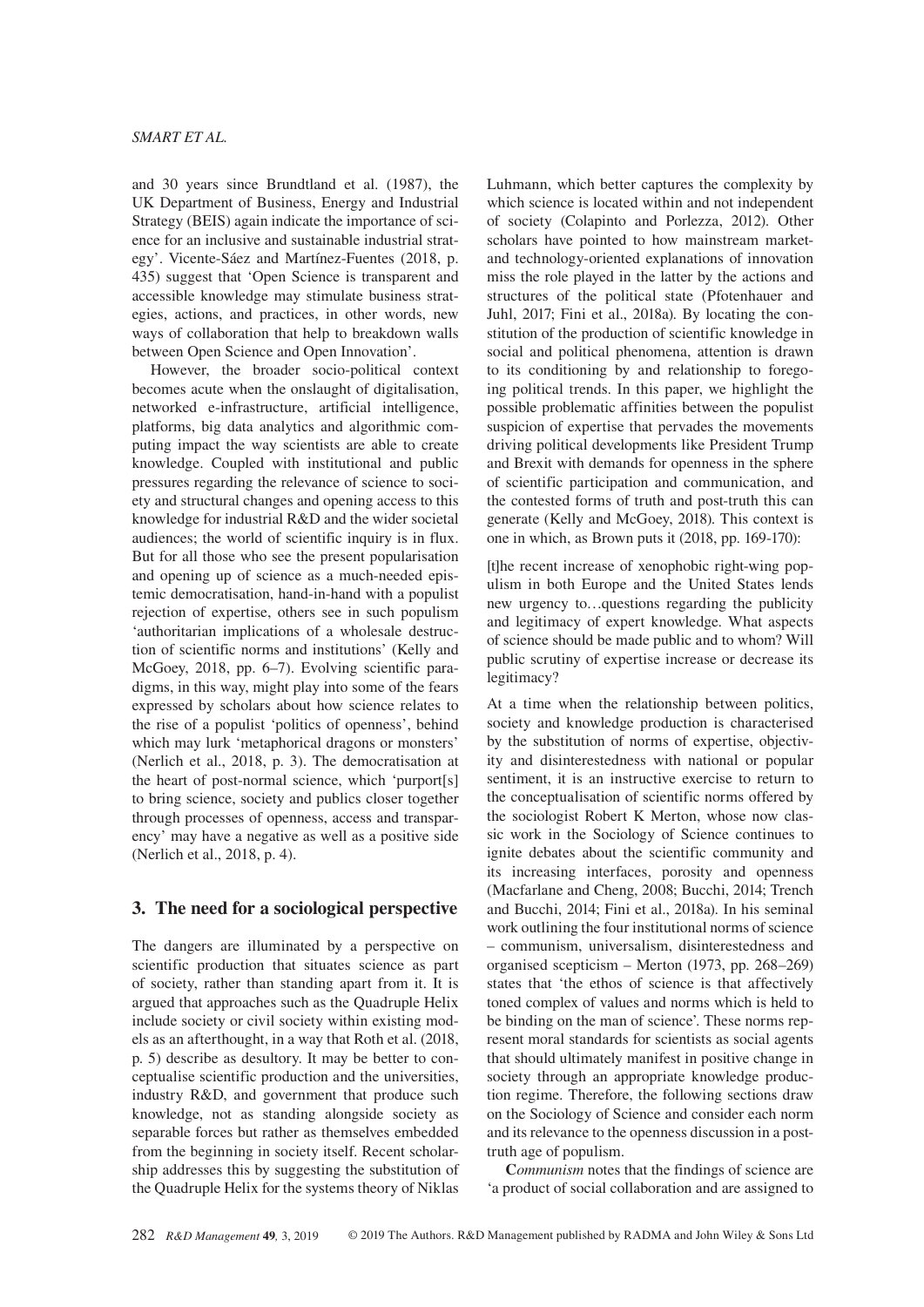and 30 years since Brundtland et al. (1987), the UK Department of Business, Energy and Industrial Strategy (BEIS) again indicate the importance of science for an inclusive and sustainable industrial strategy'. Vicente-Sáez and Martínez-Fuentes (2018, p. 435) suggest that 'Open Science is transparent and accessible knowledge may stimulate business strategies, actions, and practices, in other words, new ways of collaboration that help to breakdown walls between Open Science and Open Innovation'.

However, the broader socio-political context becomes acute when the onslaught of digitalisation, networked e-infrastructure, artificial intelligence, platforms, big data analytics and algorithmic computing impact the way scientists are able to create knowledge. Coupled with institutional and public pressures regarding the relevance of science to society and structural changes and opening access to this knowledge for industrial R&D and the wider societal audiences; the world of scientific inquiry is in flux. But for all those who see the present popularisation and opening up of science as a much-needed epistemic democratisation, hand-in-hand with a populist rejection of expertise, others see in such populism 'authoritarian implications of a wholesale destruction of scientific norms and institutions' (Kelly and McGoey, 2018, pp. 6–7). Evolving scientific paradigms, in this way, might play into some of the fears expressed by scholars about how science relates to the rise of a populist 'politics of openness', behind which may lurk 'metaphorical dragons or monsters' (Nerlich et al., 2018, p. 3). The democratisation at the heart of post-normal science, which 'purport[s] to bring science, society and publics closer together through processes of openness, access and transparency' may have a negative as well as a positive side (Nerlich et al., 2018, p. 4).

# **3. The need for a sociological perspective**

The dangers are illuminated by a perspective on scientific production that situates science as part of society, rather than standing apart from it. It is argued that approaches such as the Quadruple Helix include society or civil society within existing models as an afterthought, in a way that Roth et al. (2018, p. 5) describe as desultory. It may be better to conceptualise scientific production and the universities, industry R&D, and government that produce such knowledge, not as standing alongside society as separable forces but rather as themselves embedded from the beginning in society itself. Recent scholarship addresses this by suggesting the substitution of the Quadruple Helix for the systems theory of Niklas

Luhmann, which better captures the complexity by which science is located within and not independent of society (Colapinto and Porlezza, 2012). Other scholars have pointed to how mainstream marketand technology-oriented explanations of innovation miss the role played in the latter by the actions and structures of the political state (Pfotenhauer and Juhl, 2017; Fini et al., 2018a). By locating the constitution of the production of scientific knowledge in social and political phenomena, attention is drawn to its conditioning by and relationship to foregoing political trends. In this paper, we highlight the possible problematic affinities between the populist suspicion of expertise that pervades the movements driving political developments like President Trump and Brexit with demands for openness in the sphere of scientific participation and communication, and the contested forms of truth and post-truth this can generate (Kelly and McGoey, 2018). This context is one in which, as Brown puts it (2018, pp. 169-170):

[t]he recent increase of xenophobic right-wing populism in both Europe and the United States lends new urgency to…questions regarding the publicity and legitimacy of expert knowledge. What aspects of science should be made public and to whom? Will public scrutiny of expertise increase or decrease its legitimacy?

At a time when the relationship between politics, society and knowledge production is characterised by the substitution of norms of expertise, objectivity and disinterestedness with national or popular sentiment, it is an instructive exercise to return to the conceptualisation of scientific norms offered by the sociologist Robert K Merton, whose now classic work in the Sociology of Science continues to ignite debates about the scientific community and its increasing interfaces, porosity and openness (Macfarlane and Cheng, 2008; Bucchi, 2014; Trench and Bucchi, 2014; Fini et al., 2018a). In his seminal work outlining the four institutional norms of science – communism, universalism, disinterestedness and organised scepticism – Merton (1973, pp. 268–269) states that 'the ethos of science is that affectively toned complex of values and norms which is held to be binding on the man of science'. These norms represent moral standards for scientists as social agents that should ultimately manifest in positive change in society through an appropriate knowledge production regime. Therefore, the following sections draw on the Sociology of Science and consider each norm and its relevance to the openness discussion in a posttruth age of populism.

**C***ommunism* notes that the findings of science are 'a product of social collaboration and are assigned to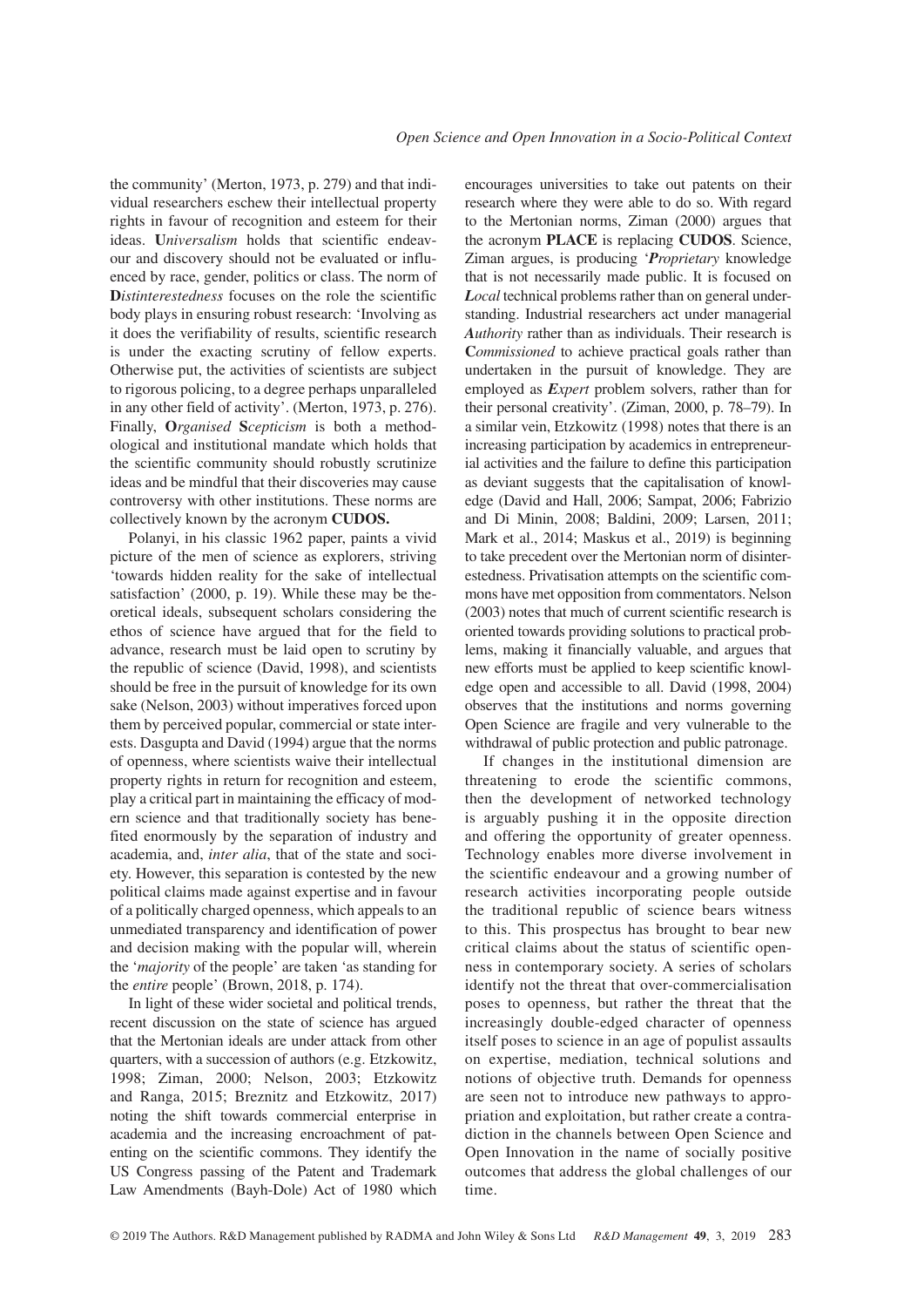the community' (Merton, 1973, p. 279) and that individual researchers eschew their intellectual property rights in favour of recognition and esteem for their ideas. **U***niversalism* holds that scientific endeavour and discovery should not be evaluated or influenced by race, gender, politics or class. The norm of **D***istinterestedness* focuses on the role the scientific body plays in ensuring robust research: 'Involving as it does the verifiability of results, scientific research is under the exacting scrutiny of fellow experts. Otherwise put, the activities of scientists are subject to rigorous policing, to a degree perhaps unparalleled in any other field of activity'. (Merton, 1973, p. 276). Finally, **O***rganised* **S***cepticism* is both a methodological and institutional mandate which holds that the scientific community should robustly scrutinize ideas and be mindful that their discoveries may cause controversy with other institutions. These norms are collectively known by the acronym **CUDOS.**

Polanyi, in his classic 1962 paper, paints a vivid picture of the men of science as explorers, striving 'towards hidden reality for the sake of intellectual satisfaction' (2000, p. 19). While these may be theoretical ideals, subsequent scholars considering the ethos of science have argued that for the field to advance, research must be laid open to scrutiny by the republic of science (David, 1998), and scientists should be free in the pursuit of knowledge for its own sake (Nelson, 2003) without imperatives forced upon them by perceived popular, commercial or state interests. Dasgupta and David (1994) argue that the norms of openness, where scientists waive their intellectual property rights in return for recognition and esteem, play a critical part in maintaining the efficacy of modern science and that traditionally society has benefited enormously by the separation of industry and academia, and, *inter alia*, that of the state and society. However, this separation is contested by the new political claims made against expertise and in favour of a politically charged openness, which appeals to an unmediated transparency and identification of power and decision making with the popular will, wherein the '*majority* of the people' are taken 'as standing for the *entire* people' (Brown, 2018, p. 174).

In light of these wider societal and political trends, recent discussion on the state of science has argued that the Mertonian ideals are under attack from other quarters, with a succession of authors (e.g. Etzkowitz, 1998; Ziman, 2000; Nelson, 2003; Etzkowitz and Ranga, 2015; Breznitz and Etzkowitz, 2017) noting the shift towards commercial enterprise in academia and the increasing encroachment of patenting on the scientific commons. They identify the US Congress passing of the Patent and Trademark Law Amendments (Bayh-Dole) Act of 1980 which

encourages universities to take out patents on their research where they were able to do so. With regard to the Mertonian norms, Ziman (2000) argues that the acronym **PLACE** is replacing **CUDOS**. Science, Ziman argues, is producing '*Proprietary* knowledge that is not necessarily made public. It is focused on *Local* technical problems rather than on general understanding. Industrial researchers act under managerial *Authority* rather than as individuals. Their research is **C***ommissioned* to achieve practical goals rather than undertaken in the pursuit of knowledge. They are employed as *Expert* problem solvers, rather than for their personal creativity'. (Ziman, 2000, p. 78–79). In a similar vein, Etzkowitz (1998) notes that there is an increasing participation by academics in entrepreneurial activities and the failure to define this participation as deviant suggests that the capitalisation of knowledge (David and Hall, 2006; Sampat, 2006; Fabrizio and Di Minin, 2008; Baldini, 2009; Larsen, 2011; Mark et al., 2014; Maskus et al., 2019) is beginning to take precedent over the Mertonian norm of disinterestedness. Privatisation attempts on the scientific commons have met opposition from commentators. Nelson (2003) notes that much of current scientific research is oriented towards providing solutions to practical problems, making it financially valuable, and argues that new efforts must be applied to keep scientific knowledge open and accessible to all. David (1998, 2004) observes that the institutions and norms governing Open Science are fragile and very vulnerable to the withdrawal of public protection and public patronage.

If changes in the institutional dimension are threatening to erode the scientific commons, then the development of networked technology is arguably pushing it in the opposite direction and offering the opportunity of greater openness. Technology enables more diverse involvement in the scientific endeavour and a growing number of research activities incorporating people outside the traditional republic of science bears witness to this. This prospectus has brought to bear new critical claims about the status of scientific openness in contemporary society. A series of scholars identify not the threat that over-commercialisation poses to openness, but rather the threat that the increasingly double-edged character of openness itself poses to science in an age of populist assaults on expertise, mediation, technical solutions and notions of objective truth. Demands for openness are seen not to introduce new pathways to appropriation and exploitation, but rather create a contradiction in the channels between Open Science and Open Innovation in the name of socially positive outcomes that address the global challenges of our time.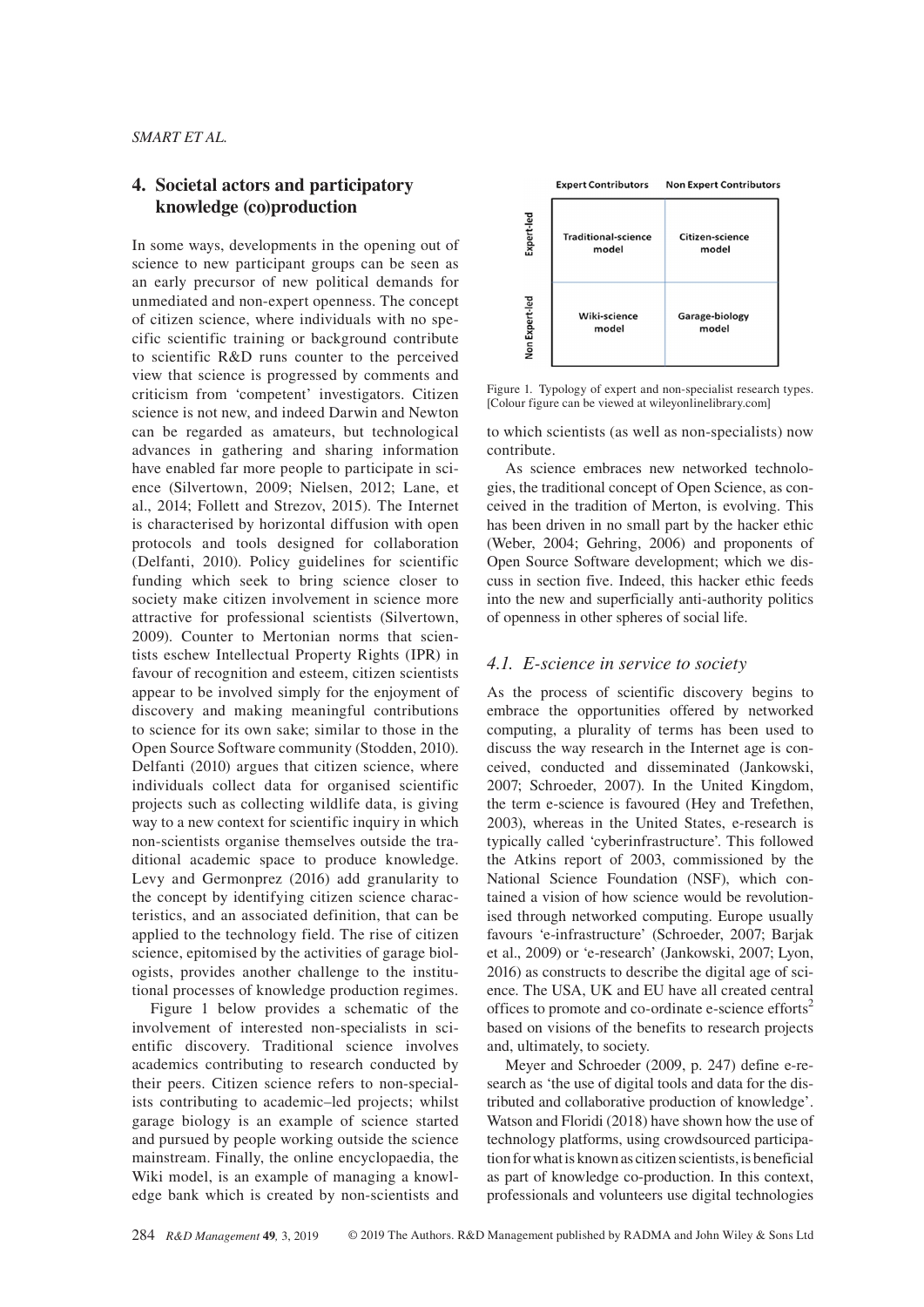# **4. Societal actors and participatory knowledge (co)production**

In some ways, developments in the opening out of science to new participant groups can be seen as an early precursor of new political demands for unmediated and non-expert openness. The concept of citizen science, where individuals with no specific scientific training or background contribute to scientific R&D runs counter to the perceived view that science is progressed by comments and criticism from 'competent' investigators. Citizen science is not new, and indeed Darwin and Newton can be regarded as amateurs, but technological advances in gathering and sharing information have enabled far more people to participate in science (Silvertown, 2009; Nielsen, 2012; Lane, et al., 2014; Follett and Strezov, 2015). The Internet is characterised by horizontal diffusion with open protocols and tools designed for collaboration (Delfanti, 2010). Policy guidelines for scientific funding which seek to bring science closer to society make citizen involvement in science more attractive for professional scientists (Silvertown, 2009). Counter to Mertonian norms that scientists eschew Intellectual Property Rights (IPR) in favour of recognition and esteem, citizen scientists appear to be involved simply for the enjoyment of discovery and making meaningful contributions to science for its own sake; similar to those in the Open Source Software community (Stodden, 2010). Delfanti (2010) argues that citizen science, where individuals collect data for organised scientific projects such as collecting wildlife data, is giving way to a new context for scientific inquiry in which non-scientists organise themselves outside the traditional academic space to produce knowledge. Levy and Germonprez (2016) add granularity to the concept by identifying citizen science characteristics, and an associated definition, that can be applied to the technology field. The rise of citizen science, epitomised by the activities of garage biologists, provides another challenge to the institutional processes of knowledge production regimes.

Figure 1 below provides a schematic of the involvement of interested non-specialists in scientific discovery. Traditional science involves academics contributing to research conducted by their peers. Citizen science refers to non-specialists contributing to academic–led projects; whilst garage biology is an example of science started and pursued by people working outside the science mainstream. Finally, the online encyclopaedia, the Wiki model, is an example of managing a knowledge bank which is created by non-scientists and



Figure 1. Typology of expert and non-specialist research types. [Colour figure can be viewed at [wileyonlinelibrary.com](www.wileyonlinelibrary.com)]

to which scientists (as well as non-specialists) now contribute.

As science embraces new networked technologies, the traditional concept of Open Science, as conceived in the tradition of Merton, is evolving. This has been driven in no small part by the hacker ethic (Weber, 2004; Gehring, 2006) and proponents of Open Source Software development; which we discuss in section five. Indeed, this hacker ethic feeds into the new and superficially anti-authority politics of openness in other spheres of social life.

### *4.1. E-science in service to society*

As the process of scientific discovery begins to embrace the opportunities offered by networked computing, a plurality of terms has been used to discuss the way research in the Internet age is conceived, conducted and disseminated (Jankowski, 2007; Schroeder, 2007). In the United Kingdom, the term e-science is favoured (Hey and Trefethen, 2003), whereas in the United States, e-research is typically called 'cyberinfrastructure'. This followed the Atkins report of 2003, commissioned by the National Science Foundation (NSF), which contained a vision of how science would be revolutionised through networked computing. Europe usually favours 'e-infrastructure' (Schroeder, 2007; Barjak et al., 2009) or 'e-research' (Jankowski, 2007; Lyon, 2016) as constructs to describe the digital age of science. The USA, UK and EU have all created central offices to promote and co-ordinate e-science efforts<sup>2</sup> based on visions of the benefits to research projects and, ultimately, to society.

Meyer and Schroeder (2009, p. 247) define e-research as 'the use of digital tools and data for the distributed and collaborative production of knowledge'. Watson and Floridi (2018) have shown how the use of technology platforms, using crowdsourced participation for what is known as citizen scientists, is beneficial as part of knowledge co-production. In this context, professionals and volunteers use digital technologies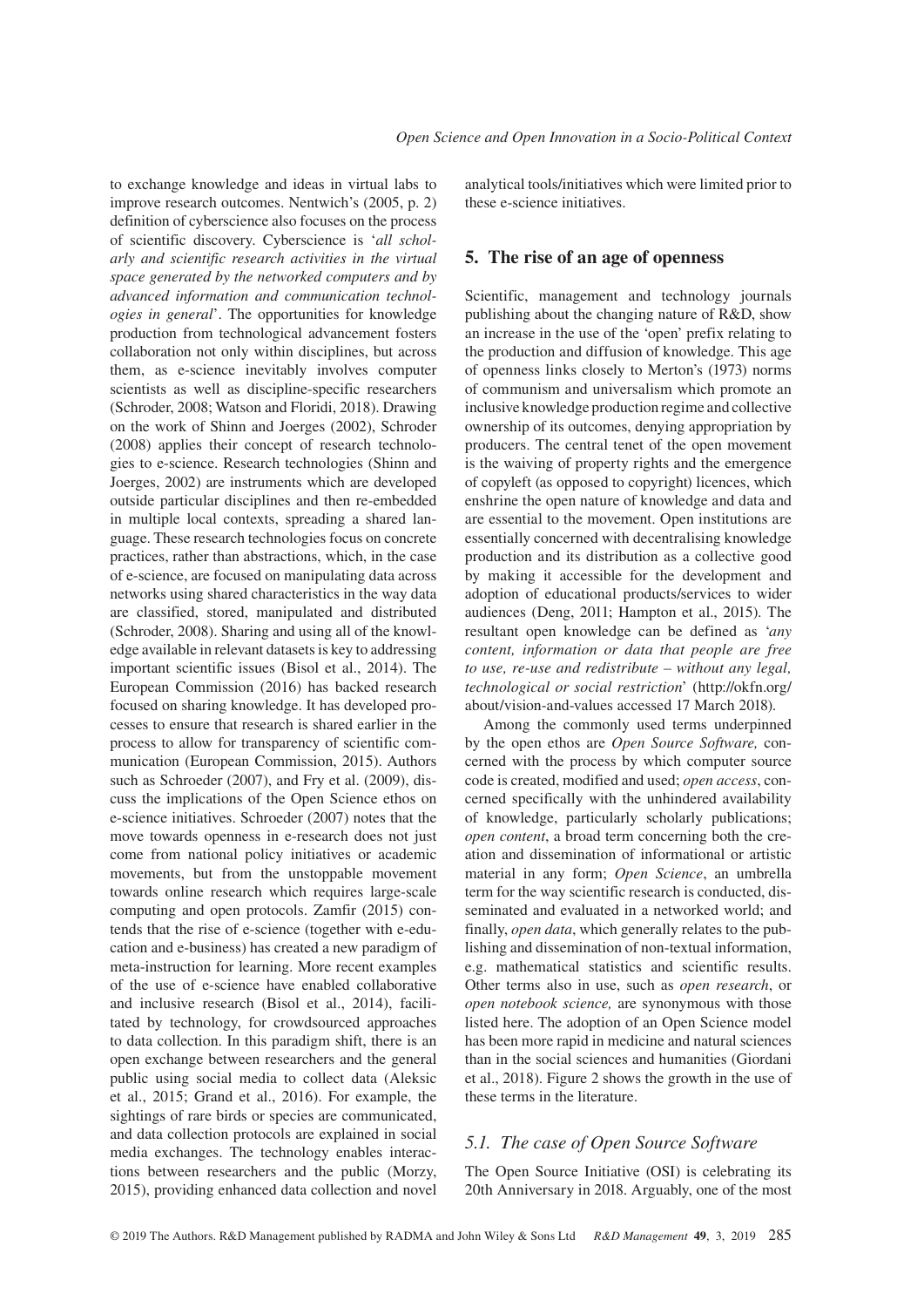to exchange knowledge and ideas in virtual labs to improve research outcomes. Nentwich's (2005, p. 2) definition of cyberscience also focuses on the process of scientific discovery. Cyberscience is '*all scholarly and scientific research activities in the virtual space generated by the networked computers and by advanced information and communication technologies in general*'. The opportunities for knowledge production from technological advancement fosters collaboration not only within disciplines, but across them, as e-science inevitably involves computer scientists as well as discipline-specific researchers (Schroder, 2008; Watson and Floridi, 2018). Drawing on the work of Shinn and Joerges (2002), Schroder (2008) applies their concept of research technologies to e-science. Research technologies (Shinn and Joerges, 2002) are instruments which are developed outside particular disciplines and then re-embedded in multiple local contexts, spreading a shared language. These research technologies focus on concrete practices, rather than abstractions, which, in the case of e-science, are focused on manipulating data across networks using shared characteristics in the way data are classified, stored, manipulated and distributed (Schroder, 2008). Sharing and using all of the knowledge available in relevant datasets is key to addressing important scientific issues (Bisol et al., 2014). The European Commission (2016) has backed research focused on sharing knowledge. It has developed processes to ensure that research is shared earlier in the process to allow for transparency of scientific communication (European Commission, 2015). Authors such as Schroeder (2007), and Fry et al. (2009), discuss the implications of the Open Science ethos on e-science initiatives. Schroeder (2007) notes that the move towards openness in e-research does not just come from national policy initiatives or academic movements, but from the unstoppable movement towards online research which requires large-scale computing and open protocols. Zamfir (2015) contends that the rise of e-science (together with e-education and e-business) has created a new paradigm of meta-instruction for learning. More recent examples of the use of e-science have enabled collaborative and inclusive research (Bisol et al., 2014), facilitated by technology, for crowdsourced approaches to data collection. In this paradigm shift, there is an open exchange between researchers and the general public using social media to collect data (Aleksic et al., 2015; Grand et al., 2016). For example, the sightings of rare birds or species are communicated, and data collection protocols are explained in social media exchanges. The technology enables interactions between researchers and the public (Morzy, 2015), providing enhanced data collection and novel

analytical tools/initiatives which were limited prior to these e-science initiatives.

# **5. The rise of an age of openness**

Scientific, management and technology journals publishing about the changing nature of R&D, show an increase in the use of the 'open' prefix relating to the production and diffusion of knowledge. This age of openness links closely to Merton's (1973) norms of communism and universalism which promote an inclusive knowledge production regime and collective ownership of its outcomes, denying appropriation by producers. The central tenet of the open movement is the waiving of property rights and the emergence of copyleft (as opposed to copyright) licences, which enshrine the open nature of knowledge and data and are essential to the movement. Open institutions are essentially concerned with decentralising knowledge production and its distribution as a collective good by making it accessible for the development and adoption of educational products/services to wider audiences (Deng, 2011; Hampton et al., 2015). The resultant open knowledge can be defined as '*any content, information or data that people are free to use, re-use and redistribute – without any legal, technological or social restriction*' ([http://okfn.org/](http://okfn.org/about/vision-and-values) [about/vision-and-values](http://okfn.org/about/vision-and-values) accessed 17 March 2018).

Among the commonly used terms underpinned by the open ethos are *Open Source Software,* concerned with the process by which computer source code is created, modified and used; *open access*, concerned specifically with the unhindered availability of knowledge, particularly scholarly publications; *open content*, a broad term concerning both the creation and dissemination of informational or artistic material in any form; *Open Science*, an umbrella term for the way scientific research is conducted, disseminated and evaluated in a networked world; and finally, *open data*, which generally relates to the publishing and dissemination of non-textual information, e.g. mathematical statistics and scientific results. Other terms also in use, such as *open research*, or *open notebook science,* are synonymous with those listed here. The adoption of an Open Science model has been more rapid in medicine and natural sciences than in the social sciences and humanities (Giordani et al., 2018). Figure 2 shows the growth in the use of these terms in the literature.

# *5.1. The case of Open Source Software*

The Open Source Initiative (OSI) is celebrating its 20th Anniversary in 2018. Arguably, one of the most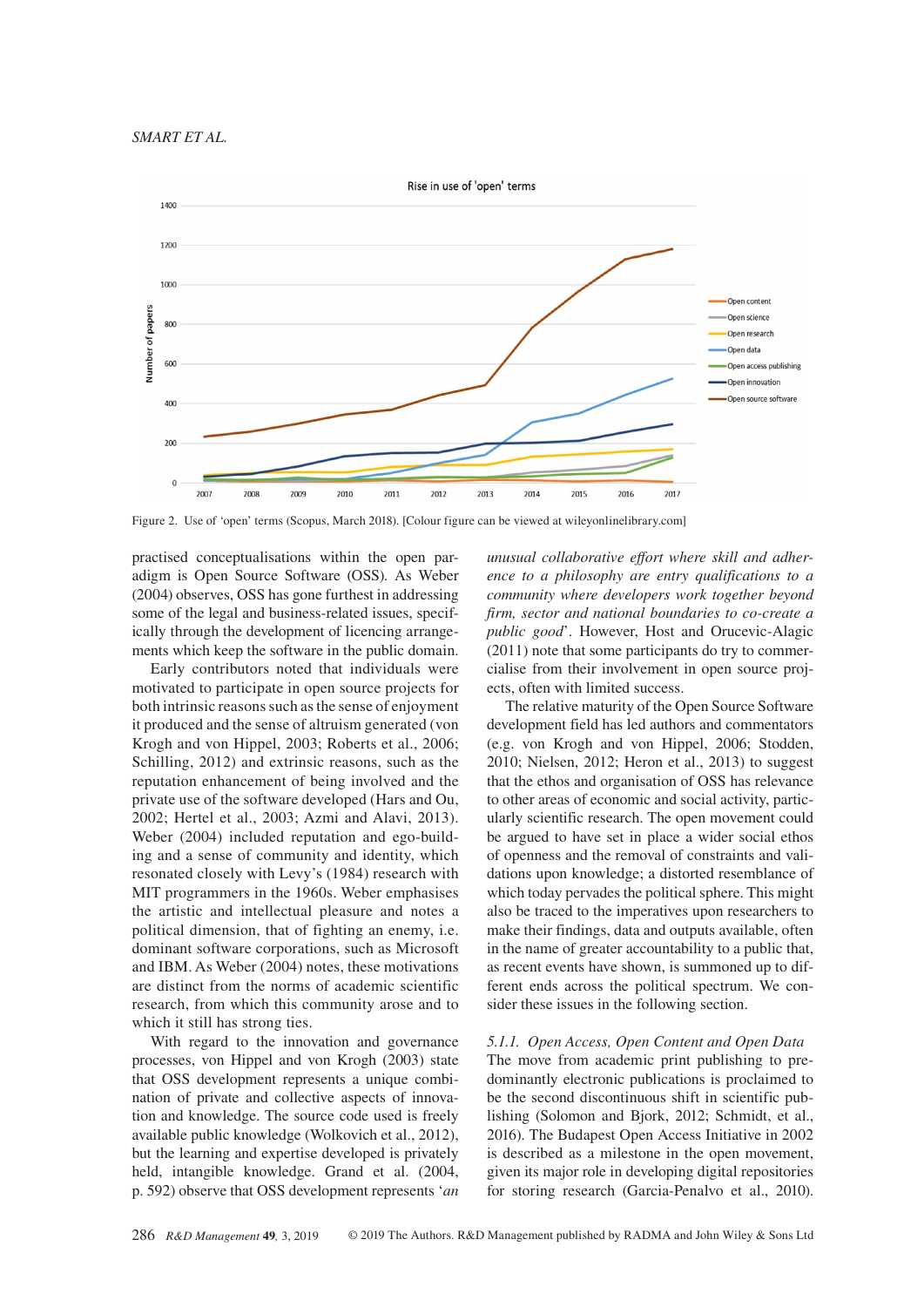

Figure 2. Use of 'open' terms (Scopus, March 2018). [Colour figure can be viewed at [wileyonlinelibrary.com\]](www.wileyonlinelibrary.com)

practised conceptualisations within the open paradigm is Open Source Software (OSS). As Weber (2004) observes, OSS has gone furthest in addressing some of the legal and business-related issues, specifically through the development of licencing arrangements which keep the software in the public domain.

Early contributors noted that individuals were motivated to participate in open source projects for both intrinsic reasons such as the sense of enjoyment it produced and the sense of altruism generated (von Krogh and von Hippel, 2003; Roberts et al., 2006; Schilling, 2012) and extrinsic reasons, such as the reputation enhancement of being involved and the private use of the software developed (Hars and Ou, 2002; Hertel et al., 2003; Azmi and Alavi, 2013). Weber (2004) included reputation and ego-building and a sense of community and identity, which resonated closely with Levy's (1984) research with MIT programmers in the 1960s. Weber emphasises the artistic and intellectual pleasure and notes a political dimension, that of fighting an enemy, i.e. dominant software corporations, such as Microsoft and IBM. As Weber (2004) notes, these motivations are distinct from the norms of academic scientific research, from which this community arose and to which it still has strong ties.

With regard to the innovation and governance processes, von Hippel and von Krogh (2003) state that OSS development represents a unique combination of private and collective aspects of innovation and knowledge. The source code used is freely available public knowledge (Wolkovich et al., 2012), but the learning and expertise developed is privately held, intangible knowledge. Grand et al. (2004, p. 592) observe that OSS development represents '*an* 

*unusual collaborative effort where skill and adherence to a philosophy are entry qualifications to a community where developers work together beyond firm, sector and national boundaries to co-create a public good*'. However, Host and Orucevic-Alagic (2011) note that some participants do try to commercialise from their involvement in open source projects, often with limited success.

The relative maturity of the Open Source Software development field has led authors and commentators (e.g. von Krogh and von Hippel, 2006; Stodden, 2010; Nielsen, 2012; Heron et al., 2013) to suggest that the ethos and organisation of OSS has relevance to other areas of economic and social activity, particularly scientific research. The open movement could be argued to have set in place a wider social ethos of openness and the removal of constraints and validations upon knowledge; a distorted resemblance of which today pervades the political sphere. This might also be traced to the imperatives upon researchers to make their findings, data and outputs available, often in the name of greater accountability to a public that, as recent events have shown, is summoned up to different ends across the political spectrum. We consider these issues in the following section.

# *5.1.1. Open Access, Open Content and Open Data*

The move from academic print publishing to predominantly electronic publications is proclaimed to be the second discontinuous shift in scientific publishing (Solomon and Bjork, 2012; Schmidt, et al., 2016). The Budapest Open Access Initiative in 2002 is described as a milestone in the open movement, given its major role in developing digital repositories for storing research (Garcia-Penalvo et al., 2010).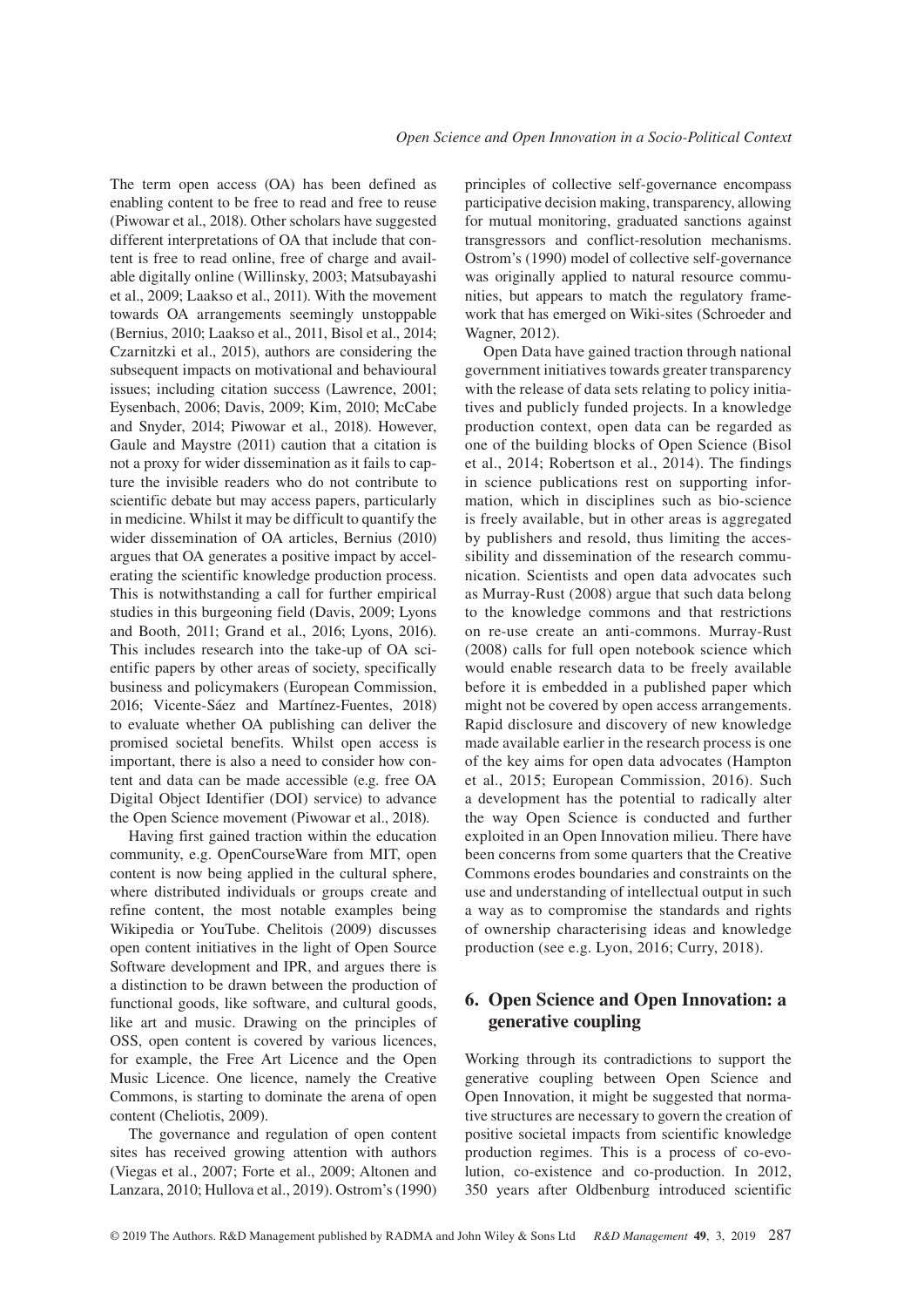The term open access (OA) has been defined as enabling content to be free to read and free to reuse (Piwowar et al., 2018). Other scholars have suggested different interpretations of OA that include that content is free to read online, free of charge and available digitally online (Willinsky, 2003; Matsubayashi et al., 2009; Laakso et al., 2011). With the movement towards OA arrangements seemingly unstoppable (Bernius, 2010; Laakso et al., 2011, Bisol et al., 2014; Czarnitzki et al., 2015), authors are considering the subsequent impacts on motivational and behavioural issues; including citation success (Lawrence, 2001; Eysenbach, 2006; Davis, 2009; Kim, 2010; McCabe and Snyder, 2014; Piwowar et al., 2018). However, Gaule and Maystre (2011) caution that a citation is not a proxy for wider dissemination as it fails to capture the invisible readers who do not contribute to scientific debate but may access papers, particularly in medicine. Whilst it may be difficult to quantify the wider dissemination of OA articles, Bernius (2010) argues that OA generates a positive impact by accelerating the scientific knowledge production process. This is notwithstanding a call for further empirical studies in this burgeoning field (Davis, 2009; Lyons and Booth, 2011; Grand et al., 2016; Lyons, 2016). This includes research into the take-up of OA scientific papers by other areas of society, specifically business and policymakers (European Commission, 2016; Vicente-Sáez and Martínez-Fuentes, 2018) to evaluate whether OA publishing can deliver the promised societal benefits. Whilst open access is important, there is also a need to consider how content and data can be made accessible (e.g. free OA Digital Object Identifier (DOI) service) to advance the Open Science movement (Piwowar et al., 2018).

Having first gained traction within the education community, e.g. OpenCourseWare from MIT, open content is now being applied in the cultural sphere, where distributed individuals or groups create and refine content, the most notable examples being Wikipedia or YouTube. Chelitois (2009) discusses open content initiatives in the light of Open Source Software development and IPR, and argues there is a distinction to be drawn between the production of functional goods, like software, and cultural goods, like art and music. Drawing on the principles of OSS, open content is covered by various licences, for example, the Free Art Licence and the Open Music Licence. One licence, namely the Creative Commons, is starting to dominate the arena of open content (Cheliotis, 2009).

The governance and regulation of open content sites has received growing attention with authors (Viegas et al., 2007; Forte et al., 2009; Altonen and Lanzara, 2010; Hullova et al., 2019). Ostrom's (1990) principles of collective self-governance encompass participative decision making, transparency, allowing for mutual monitoring, graduated sanctions against transgressors and conflict-resolution mechanisms. Ostrom's (1990) model of collective self-governance was originally applied to natural resource communities, but appears to match the regulatory framework that has emerged on Wiki-sites (Schroeder and Wagner, 2012).

Open Data have gained traction through national government initiatives towards greater transparency with the release of data sets relating to policy initiatives and publicly funded projects. In a knowledge production context, open data can be regarded as one of the building blocks of Open Science (Bisol et al., 2014; Robertson et al., 2014). The findings in science publications rest on supporting information, which in disciplines such as bio-science is freely available, but in other areas is aggregated by publishers and resold, thus limiting the accessibility and dissemination of the research communication. Scientists and open data advocates such as Murray-Rust (2008) argue that such data belong to the knowledge commons and that restrictions on re-use create an anti-commons. Murray-Rust (2008) calls for full open notebook science which would enable research data to be freely available before it is embedded in a published paper which might not be covered by open access arrangements. Rapid disclosure and discovery of new knowledge made available earlier in the research process is one of the key aims for open data advocates (Hampton et al., 2015; European Commission, 2016). Such a development has the potential to radically alter the way Open Science is conducted and further exploited in an Open Innovation milieu. There have been concerns from some quarters that the Creative Commons erodes boundaries and constraints on the use and understanding of intellectual output in such a way as to compromise the standards and rights of ownership characterising ideas and knowledge production (see e.g. Lyon, 2016; Curry, 2018).

# **6. Open Science and Open Innovation: a generative coupling**

Working through its contradictions to support the generative coupling between Open Science and Open Innovation, it might be suggested that normative structures are necessary to govern the creation of positive societal impacts from scientific knowledge production regimes. This is a process of co-evolution, co-existence and co-production. In 2012, 350 years after Oldbenburg introduced scientific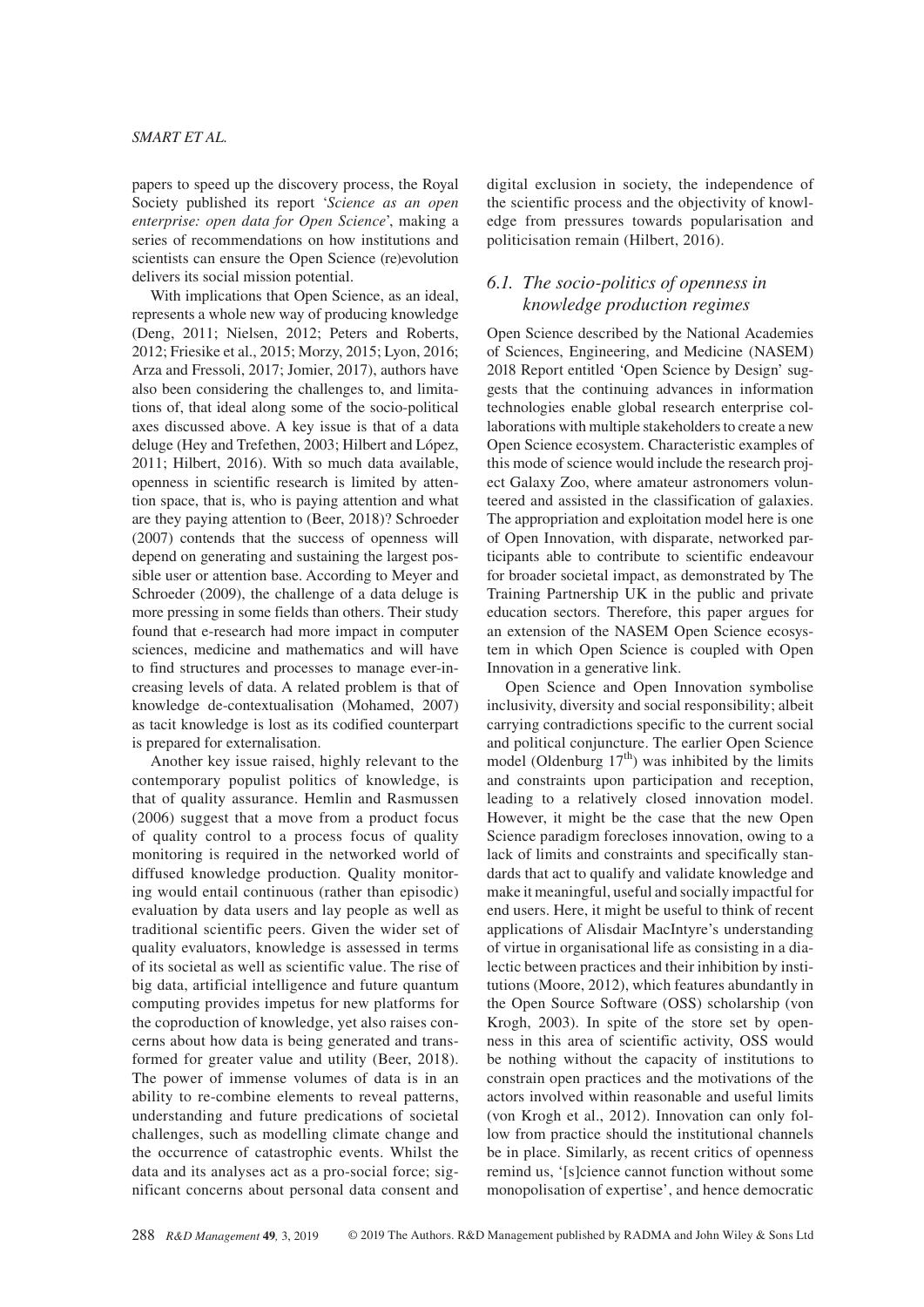papers to speed up the discovery process, the Royal Society published its report '*Science as an open enterprise: open data for Open Science*', making a series of recommendations on how institutions and scientists can ensure the Open Science (re)evolution delivers its social mission potential.

With implications that Open Science, as an ideal, represents a whole new way of producing knowledge (Deng, 2011; Nielsen, 2012; Peters and Roberts, 2012; Friesike et al., 2015; Morzy, 2015; Lyon, 2016; Arza and Fressoli, 2017; Jomier, 2017), authors have also been considering the challenges to, and limitations of, that ideal along some of the socio-political axes discussed above. A key issue is that of a data deluge (Hey and Trefethen, 2003; Hilbert and López, 2011; Hilbert, 2016). With so much data available, openness in scientific research is limited by attention space, that is, who is paying attention and what are they paying attention to (Beer, 2018)? Schroeder (2007) contends that the success of openness will depend on generating and sustaining the largest possible user or attention base. According to Meyer and Schroeder (2009), the challenge of a data deluge is more pressing in some fields than others. Their study found that e-research had more impact in computer sciences, medicine and mathematics and will have to find structures and processes to manage ever-increasing levels of data. A related problem is that of knowledge de-contextualisation (Mohamed, 2007) as tacit knowledge is lost as its codified counterpart is prepared for externalisation.

Another key issue raised, highly relevant to the contemporary populist politics of knowledge, is that of quality assurance. Hemlin and Rasmussen (2006) suggest that a move from a product focus of quality control to a process focus of quality monitoring is required in the networked world of diffused knowledge production. Quality monitoring would entail continuous (rather than episodic) evaluation by data users and lay people as well as traditional scientific peers. Given the wider set of quality evaluators, knowledge is assessed in terms of its societal as well as scientific value. The rise of big data, artificial intelligence and future quantum computing provides impetus for new platforms for the coproduction of knowledge, yet also raises concerns about how data is being generated and transformed for greater value and utility (Beer, 2018). The power of immense volumes of data is in an ability to re-combine elements to reveal patterns, understanding and future predications of societal challenges, such as modelling climate change and the occurrence of catastrophic events. Whilst the data and its analyses act as a pro-social force; significant concerns about personal data consent and

digital exclusion in society, the independence of the scientific process and the objectivity of knowledge from pressures towards popularisation and politicisation remain (Hilbert, 2016).

# *6.1. The socio-politics of openness in knowledge production regimes*

Open Science described by the National Academies of Sciences, Engineering, and Medicine (NASEM) 2018 Report entitled 'Open Science by Design' suggests that the continuing advances in information technologies enable global research enterprise collaborations with multiple stakeholders to create a new Open Science ecosystem. Characteristic examples of this mode of science would include the research project Galaxy Zoo, where amateur astronomers volunteered and assisted in the classification of galaxies. The appropriation and exploitation model here is one of Open Innovation, with disparate, networked participants able to contribute to scientific endeavour for broader societal impact, as demonstrated by The Training Partnership UK in the public and private education sectors. Therefore, this paper argues for an extension of the NASEM Open Science ecosystem in which Open Science is coupled with Open Innovation in a generative link.

Open Science and Open Innovation symbolise inclusivity, diversity and social responsibility; albeit carrying contradictions specific to the current social and political conjuncture. The earlier Open Science model (Oldenburg  $17<sup>th</sup>$ ) was inhibited by the limits and constraints upon participation and reception, leading to a relatively closed innovation model. However, it might be the case that the new Open Science paradigm forecloses innovation, owing to a lack of limits and constraints and specifically standards that act to qualify and validate knowledge and make it meaningful, useful and socially impactful for end users. Here, it might be useful to think of recent applications of Alisdair MacIntyre's understanding of virtue in organisational life as consisting in a dialectic between practices and their inhibition by institutions (Moore, 2012), which features abundantly in the Open Source Software (OSS) scholarship (von Krogh, 2003). In spite of the store set by openness in this area of scientific activity, OSS would be nothing without the capacity of institutions to constrain open practices and the motivations of the actors involved within reasonable and useful limits (von Krogh et al., 2012). Innovation can only follow from practice should the institutional channels be in place. Similarly, as recent critics of openness remind us, '[s]cience cannot function without some monopolisation of expertise', and hence democratic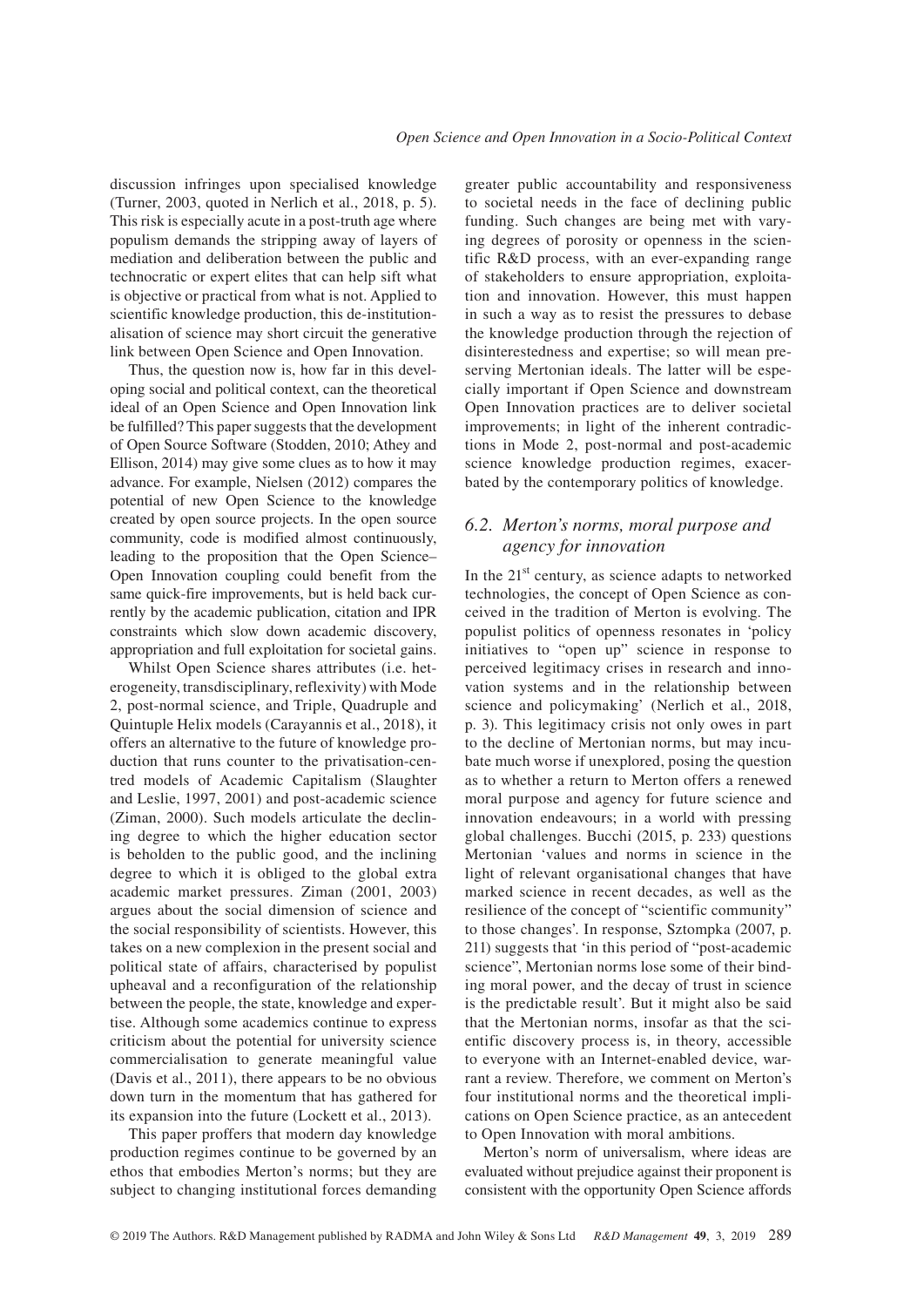discussion infringes upon specialised knowledge (Turner, 2003, quoted in Nerlich et al., 2018, p. 5). This risk is especially acute in a post-truth age where populism demands the stripping away of layers of mediation and deliberation between the public and technocratic or expert elites that can help sift what is objective or practical from what is not. Applied to scientific knowledge production, this de-institutionalisation of science may short circuit the generative link between Open Science and Open Innovation.

Thus, the question now is, how far in this developing social and political context, can the theoretical ideal of an Open Science and Open Innovation link be fulfilled? This paper suggests that the development of Open Source Software (Stodden, 2010; Athey and Ellison, 2014) may give some clues as to how it may advance. For example, Nielsen (2012) compares the potential of new Open Science to the knowledge created by open source projects. In the open source community, code is modified almost continuously, leading to the proposition that the Open Science– Open Innovation coupling could benefit from the same quick-fire improvements, but is held back currently by the academic publication, citation and IPR constraints which slow down academic discovery, appropriation and full exploitation for societal gains.

Whilst Open Science shares attributes (i.e. heterogeneity, transdisciplinary, reflexivity) with Mode 2, post-normal science, and Triple, Quadruple and Quintuple Helix models (Carayannis et al., 2018), it offers an alternative to the future of knowledge production that runs counter to the privatisation-centred models of Academic Capitalism (Slaughter and Leslie, 1997, 2001) and post-academic science (Ziman, 2000). Such models articulate the declining degree to which the higher education sector is beholden to the public good, and the inclining degree to which it is obliged to the global extra academic market pressures. Ziman (2001, 2003) argues about the social dimension of science and the social responsibility of scientists. However, this takes on a new complexion in the present social and political state of affairs, characterised by populist upheaval and a reconfiguration of the relationship between the people, the state, knowledge and expertise. Although some academics continue to express criticism about the potential for university science commercialisation to generate meaningful value (Davis et al., 2011), there appears to be no obvious down turn in the momentum that has gathered for its expansion into the future (Lockett et al., 2013).

This paper proffers that modern day knowledge production regimes continue to be governed by an ethos that embodies Merton's norms; but they are subject to changing institutional forces demanding greater public accountability and responsiveness to societal needs in the face of declining public funding. Such changes are being met with varying degrees of porosity or openness in the scientific R&D process, with an ever-expanding range of stakeholders to ensure appropriation, exploitation and innovation. However, this must happen in such a way as to resist the pressures to debase the knowledge production through the rejection of disinterestedness and expertise; so will mean preserving Mertonian ideals. The latter will be especially important if Open Science and downstream Open Innovation practices are to deliver societal improvements; in light of the inherent contradictions in Mode 2, post-normal and post-academic science knowledge production regimes, exacerbated by the contemporary politics of knowledge.

# *6.2. Merton's norms, moral purpose and agency for innovation*

In the  $21<sup>st</sup>$  century, as science adapts to networked technologies, the concept of Open Science as conceived in the tradition of Merton is evolving. The populist politics of openness resonates in 'policy initiatives to "open up" science in response to perceived legitimacy crises in research and innovation systems and in the relationship between science and policymaking' (Nerlich et al., 2018, p. 3). This legitimacy crisis not only owes in part to the decline of Mertonian norms, but may incubate much worse if unexplored, posing the question as to whether a return to Merton offers a renewed moral purpose and agency for future science and innovation endeavours; in a world with pressing global challenges. Bucchi (2015, p. 233) questions Mertonian 'values and norms in science in the light of relevant organisational changes that have marked science in recent decades, as well as the resilience of the concept of "scientific community" to those changes'. In response, Sztompka (2007, p. 211) suggests that 'in this period of "post-academic science", Mertonian norms lose some of their binding moral power, and the decay of trust in science is the predictable result'. But it might also be said that the Mertonian norms, insofar as that the scientific discovery process is, in theory, accessible to everyone with an Internet-enabled device, warrant a review. Therefore, we comment on Merton's four institutional norms and the theoretical implications on Open Science practice, as an antecedent to Open Innovation with moral ambitions.

Merton's norm of universalism, where ideas are evaluated without prejudice against their proponent is consistent with the opportunity Open Science affords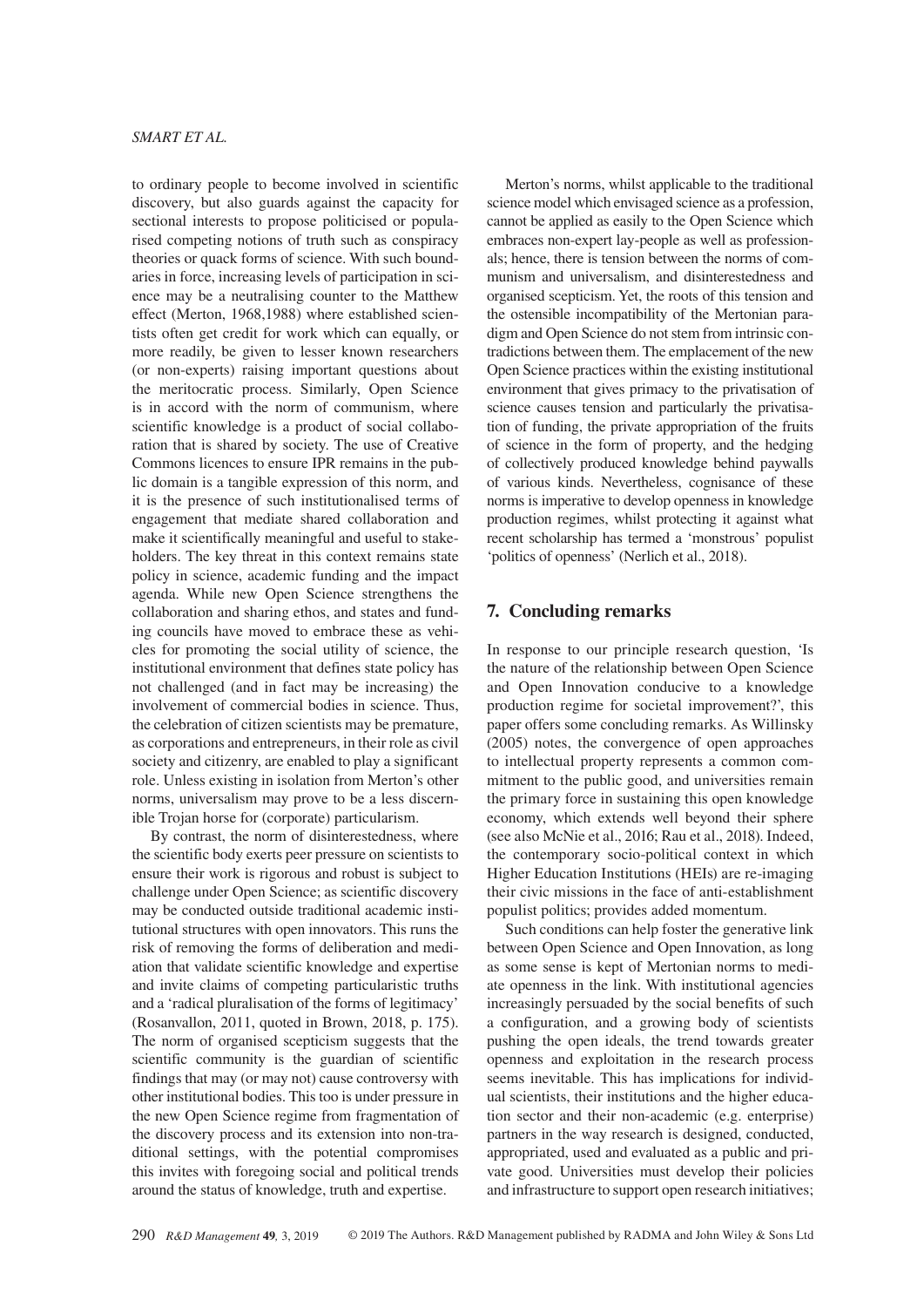to ordinary people to become involved in scientific discovery, but also guards against the capacity for sectional interests to propose politicised or popularised competing notions of truth such as conspiracy theories or quack forms of science. With such boundaries in force, increasing levels of participation in science may be a neutralising counter to the Matthew effect (Merton, 1968,1988) where established scientists often get credit for work which can equally, or more readily, be given to lesser known researchers (or non-experts) raising important questions about the meritocratic process. Similarly, Open Science is in accord with the norm of communism, where scientific knowledge is a product of social collaboration that is shared by society. The use of Creative Commons licences to ensure IPR remains in the public domain is a tangible expression of this norm, and it is the presence of such institutionalised terms of engagement that mediate shared collaboration and make it scientifically meaningful and useful to stakeholders. The key threat in this context remains state policy in science, academic funding and the impact agenda. While new Open Science strengthens the collaboration and sharing ethos, and states and funding councils have moved to embrace these as vehicles for promoting the social utility of science, the institutional environment that defines state policy has not challenged (and in fact may be increasing) the involvement of commercial bodies in science. Thus, the celebration of citizen scientists may be premature, as corporations and entrepreneurs, in their role as civil society and citizenry, are enabled to play a significant role. Unless existing in isolation from Merton's other norms, universalism may prove to be a less discernible Trojan horse for (corporate) particularism.

By contrast, the norm of disinterestedness, where the scientific body exerts peer pressure on scientists to ensure their work is rigorous and robust is subject to challenge under Open Science; as scientific discovery may be conducted outside traditional academic institutional structures with open innovators. This runs the risk of removing the forms of deliberation and mediation that validate scientific knowledge and expertise and invite claims of competing particularistic truths and a 'radical pluralisation of the forms of legitimacy' (Rosanvallon, 2011, quoted in Brown, 2018, p. 175). The norm of organised scepticism suggests that the scientific community is the guardian of scientific findings that may (or may not) cause controversy with other institutional bodies. This too is under pressure in the new Open Science regime from fragmentation of the discovery process and its extension into non-traditional settings, with the potential compromises this invites with foregoing social and political trends around the status of knowledge, truth and expertise.

Merton's norms, whilst applicable to the traditional science model which envisaged science as a profession, cannot be applied as easily to the Open Science which embraces non-expert lay-people as well as professionals; hence, there is tension between the norms of communism and universalism, and disinterestedness and organised scepticism. Yet, the roots of this tension and the ostensible incompatibility of the Mertonian paradigm and Open Science do not stem from intrinsic contradictions between them. The emplacement of the new Open Science practices within the existing institutional environment that gives primacy to the privatisation of science causes tension and particularly the privatisation of funding, the private appropriation of the fruits of science in the form of property, and the hedging of collectively produced knowledge behind paywalls of various kinds. Nevertheless, cognisance of these norms is imperative to develop openness in knowledge production regimes, whilst protecting it against what recent scholarship has termed a 'monstrous' populist 'politics of openness' (Nerlich et al., 2018).

# **7. Concluding remarks**

In response to our principle research question, 'Is the nature of the relationship between Open Science and Open Innovation conducive to a knowledge production regime for societal improvement?', this paper offers some concluding remarks. As Willinsky (2005) notes, the convergence of open approaches to intellectual property represents a common commitment to the public good, and universities remain the primary force in sustaining this open knowledge economy, which extends well beyond their sphere (see also McNie et al., 2016; Rau et al., 2018). Indeed, the contemporary socio-political context in which Higher Education Institutions (HEIs) are re-imaging their civic missions in the face of anti-establishment populist politics; provides added momentum.

Such conditions can help foster the generative link between Open Science and Open Innovation, as long as some sense is kept of Mertonian norms to mediate openness in the link. With institutional agencies increasingly persuaded by the social benefits of such a configuration, and a growing body of scientists pushing the open ideals, the trend towards greater openness and exploitation in the research process seems inevitable. This has implications for individual scientists, their institutions and the higher education sector and their non-academic (e.g. enterprise) partners in the way research is designed, conducted, appropriated, used and evaluated as a public and private good. Universities must develop their policies and infrastructure to support open research initiatives;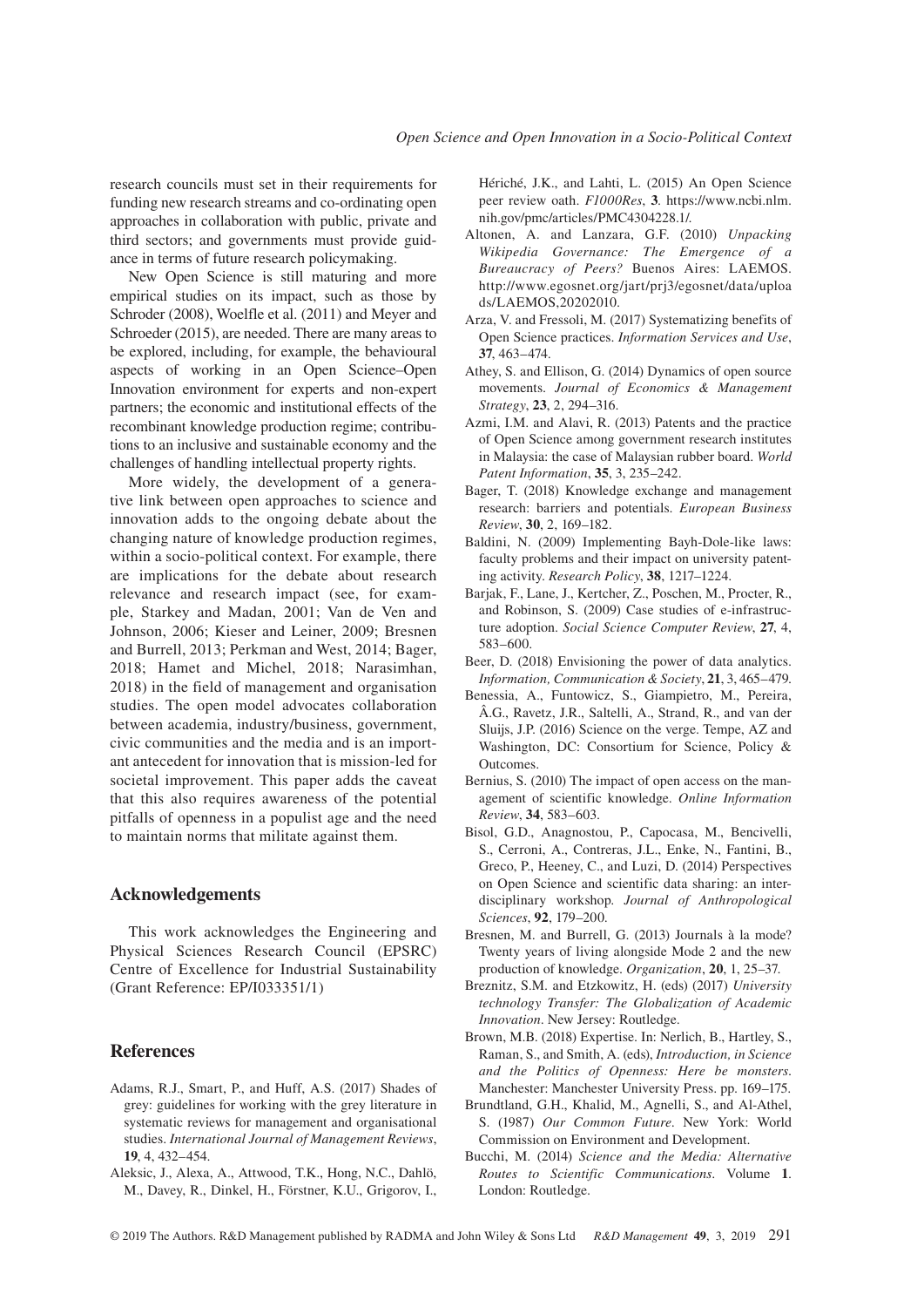research councils must set in their requirements for funding new research streams and co-ordinating open approaches in collaboration with public, private and third sectors; and governments must provide guidance in terms of future research policymaking.

New Open Science is still maturing and more empirical studies on its impact, such as those by Schroder (2008), Woelfle et al. (2011) and Meyer and Schroeder (2015), are needed. There are many areas to be explored, including, for example, the behavioural aspects of working in an Open Science–Open Innovation environment for experts and non-expert partners; the economic and institutional effects of the recombinant knowledge production regime; contributions to an inclusive and sustainable economy and the challenges of handling intellectual property rights.

More widely, the development of a generative link between open approaches to science and innovation adds to the ongoing debate about the changing nature of knowledge production regimes, within a socio-political context. For example, there are implications for the debate about research relevance and research impact (see, for example, Starkey and Madan, 2001; Van de Ven and Johnson, 2006; Kieser and Leiner, 2009; Bresnen and Burrell, 2013; Perkman and West, 2014; Bager, 2018; Hamet and Michel, 2018; Narasimhan, 2018) in the field of management and organisation studies. The open model advocates collaboration between academia, industry/business, government, civic communities and the media and is an important antecedent for innovation that is mission-led for societal improvement. This paper adds the caveat that this also requires awareness of the potential pitfalls of openness in a populist age and the need to maintain norms that militate against them.

# **Acknowledgements**

This work acknowledges the Engineering and Physical Sciences Research Council (EPSRC) Centre of Excellence for Industrial Sustainability (Grant Reference: EP/I033351/1)

#### **References**

- Adams, R.J., Smart, P., and Huff, A.S. (2017) Shades of grey: guidelines for working with the grey literature in systematic reviews for management and organisational studies. *International Journal of Management Reviews*, **19**, 4, 432–454.
- Aleksic, J., Alexa, A., Attwood, T.K., Hong, N.C., Dahlö, M., Davey, R., Dinkel, H., Förstner, K.U., Grigorov, I.,

Hériché, J.K., and Lahti, L. (2015) An Open Science peer review oath. *F1000Res*, **3**. [https://www.ncbi.nlm.](https://www.ncbi.nlm.nih.gov/pmc/articles/PMC4304228.1/) [nih.gov/pmc/articles/PMC4304228.1/.](https://www.ncbi.nlm.nih.gov/pmc/articles/PMC4304228.1/)

- Altonen, A. and Lanzara, G.F. (2010) *Unpacking Wikipedia Governance: The Emergence of a Bureaucracy of Peers?* Buenos Aires: LAEMOS. [http://www.egosnet.org/jart/prj3/egosnet/data/uploa](http://www.egosnet.org/jart/prj3/egosnet/data/uploads/LAEMOS,20202010) [ds/LAEMOS,20202010](http://www.egosnet.org/jart/prj3/egosnet/data/uploads/LAEMOS,20202010).
- Arza, V. and Fressoli, M. (2017) Systematizing benefits of Open Science practices. *Information Services and Use*, **37**, 463–474.
- Athey, S. and Ellison, G. (2014) Dynamics of open source movements. *Journal of Economics & Management Strategy*, **23**, 2, 294–316.
- Azmi, I.M. and Alavi, R. (2013) Patents and the practice of Open Science among government research institutes in Malaysia: the case of Malaysian rubber board. *World Patent Information*, **35**, 3, 235–242.
- Bager, T. (2018) Knowledge exchange and management research: barriers and potentials. *European Business Review*, **30**, 2, 169–182.
- Baldini, N. (2009) Implementing Bayh-Dole-like laws: faculty problems and their impact on university patenting activity. *Research Policy*, **38**, 1217–1224.
- Barjak, F., Lane, J., Kertcher, Z., Poschen, M., Procter, R., and Robinson, S. (2009) Case studies of e-infrastructure adoption. *Social Science Computer Review*, **27**, 4, 583–600.
- Beer, D. (2018) Envisioning the power of data analytics. *Information, Communication & Society*, **21**, 3, 465–479.
- Benessia, A., Funtowicz, S., Giampietro, M., Pereira, Â.G., Ravetz, J.R., Saltelli, A., Strand, R., and van der Sluijs, J.P. (2016) Science on the verge. Tempe, AZ and Washington, DC: Consortium for Science, Policy & **Outcomes**
- Bernius, S. (2010) The impact of open access on the management of scientific knowledge. *Online Information Review*, **34**, 583–603.
- Bisol, G.D., Anagnostou, P., Capocasa, M., Bencivelli, S., Cerroni, A., Contreras, J.L., Enke, N., Fantini, B., Greco, P., Heeney, C., and Luzi, D. (2014) Perspectives on Open Science and scientific data sharing: an interdisciplinary workshop. *Journal of Anthropological Sciences*, **92**, 179–200.
- Bresnen, M. and Burrell, G. (2013) Journals à la mode? Twenty years of living alongside Mode 2 and the new production of knowledge. *Organization*, **20**, 1, 25–37.
- Breznitz, S.M. and Etzkowitz, H. (eds) (2017) *University technology Transfer: The Globalization of Academic Innovation*. New Jersey: Routledge.
- Brown, M.B. (2018) Expertise. In: Nerlich, B., Hartley, S., Raman, S., and Smith, A. (eds), *Introduction, in Science and the Politics of Openness: Here be monsters*. Manchester: Manchester University Press. pp. 169–175.
- Brundtland, G.H., Khalid, M., Agnelli, S., and Al-Athel, S. (1987) *Our Common Future*. New York: World Commission on Environment and Development.
- Bucchi, M. (2014) *Science and the Media: Alternative Routes to Scientific Communications*. Volume **1**. London: Routledge.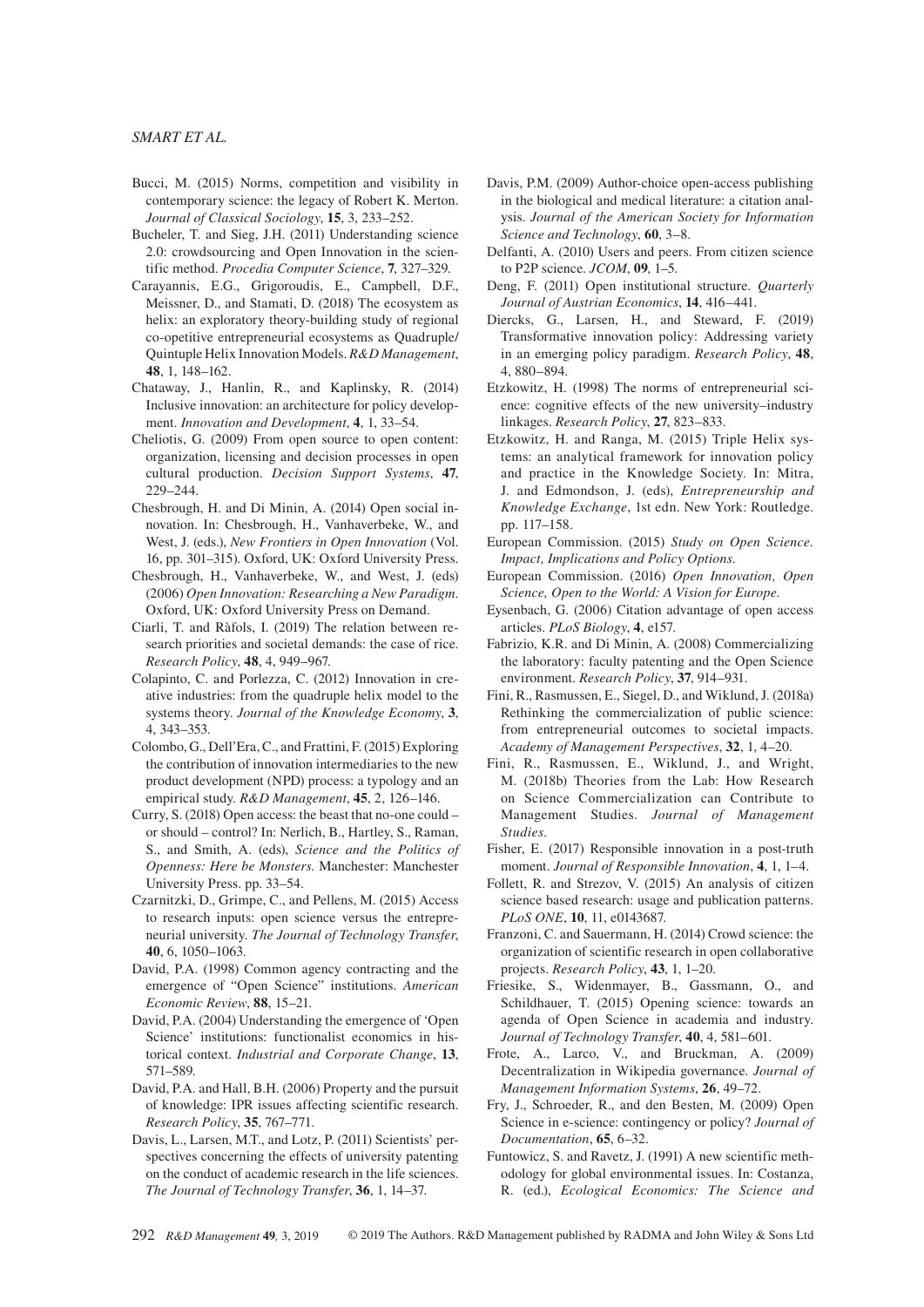- Bucci, M. (2015) Norms, competition and visibility in contemporary science: the legacy of Robert K. Merton. *Journal of Classical Sociology*, **15**, 3, 233–252.
- Bucheler, T. and Sieg, J.H. (2011) Understanding science 2.0: crowdsourcing and Open Innovation in the scientific method. *Procedia Computer Science*, **7**, 327–329.
- Carayannis, E.G., Grigoroudis, E., Campbell, D.F., Meissner, D., and Stamati, D. (2018) The ecosystem as helix: an exploratory theory-building study of regional co-opetitive entrepreneurial ecosystems as Quadruple/ Quintuple Helix Innovation Models. *R&D Management*, **48**, 1, 148–162.
- Chataway, J., Hanlin, R., and Kaplinsky, R. (2014) Inclusive innovation: an architecture for policy development. *Innovation and Development*, **4**, 1, 33–54.
- Cheliotis, G. (2009) From open source to open content: organization, licensing and decision processes in open cultural production. *Decision Support Systems*, **47**, 229–244.
- Chesbrough, H. and Di Minin, A. (2014) Open social innovation. In: Chesbrough, H., Vanhaverbeke, W., and West, J. (eds.), *New Frontiers in Open Innovation* (Vol. 16, pp. 301–315). Oxford, UK: Oxford University Press.
- Chesbrough, H., Vanhaverbeke, W., and West, J. (eds) (2006) *Open Innovation: Researching a New Paradigm*. Oxford, UK: Oxford University Press on Demand.
- Ciarli, T. and Ràfols, I. (2019) The relation between research priorities and societal demands: the case of rice. *Research Policy*, **48**, 4, 949–967.
- Colapinto, C. and Porlezza, C. (2012) Innovation in creative industries: from the quadruple helix model to the systems theory. *Journal of the Knowledge Economy*, **3**, 4, 343–353.
- Colombo, G., Dell'Era, C., and Frattini, F. (2015) Exploring the contribution of innovation intermediaries to the new product development (NPD) process: a typology and an empirical study. *R&D Management*, **45**, 2, 126–146.
- Curry, S. (2018) Open access: the beast that no-one could or should – control? In: Nerlich, B., Hartley, S., Raman, S., and Smith, A. (eds), *Science and the Politics of Openness: Here be Monsters*. Manchester: Manchester University Press. pp. 33–54.
- Czarnitzki, D., Grimpe, C., and Pellens, M. (2015) Access to research inputs: open science versus the entrepreneurial university. *The Journal of Technology Transfer*, **40**, 6, 1050–1063.
- David, P.A. (1998) Common agency contracting and the emergence of "Open Science" institutions. *American Economic Review*, **88**, 15–21.
- David, P.A. (2004) Understanding the emergence of 'Open Science' institutions: functionalist economics in historical context. *Industrial and Corporate Change*, **13**, 571–589.
- David, P.A. and Hall, B.H. (2006) Property and the pursuit of knowledge: IPR issues affecting scientific research. *Research Policy*, **35**, 767–771.
- Davis, L., Larsen, M.T., and Lotz, P. (2011) Scientists' perspectives concerning the effects of university patenting on the conduct of academic research in the life sciences. *The Journal of Technology Transfer*, **36**, 1, 14–37.
- Davis, P.M. (2009) Author-choice open-access publishing in the biological and medical literature: a citation analysis. *Journal of the American Society for Information Science and Technology*, **60**, 3–8.
- Delfanti, A. (2010) Users and peers. From citizen science to P2P science. *JCOM*, **09**, 1–5.
- Deng, F. (2011) Open institutional structure. *Quarterly Journal of Austrian Economics*, **14**, 416–441.
- Diercks, G., Larsen, H., and Steward, F. (2019) Transformative innovation policy: Addressing variety in an emerging policy paradigm. *Research Policy*, **48**, 4, 880–894.
- Etzkowitz, H. (1998) The norms of entrepreneurial science: cognitive effects of the new university–industry linkages. *Research Policy*, **27**, 823–833.
- Etzkowitz, H. and Ranga, M. (2015) Triple Helix systems: an analytical framework for innovation policy and practice in the Knowledge Society. In: Mitra, J. and Edmondson, J. (eds), *Entrepreneurship and Knowledge Exchange*, 1st edn. New York: Routledge. pp. 117–158.
- European Commission. (2015) *Study on Open Science. Impact, Implications and Policy Options*.
- European Commission. (2016) *Open Innovation, Open Science, Open to the World: A Vision for Europe*.
- Eysenbach, G. (2006) Citation advantage of open access articles. *PLoS Biology*, **4**, e157.
- Fabrizio, K.R. and Di Minin, A. (2008) Commercializing the laboratory: faculty patenting and the Open Science environment. *Research Policy*, **37**, 914–931.
- Fini, R., Rasmussen, E., Siegel, D., and Wiklund, J. (2018a) Rethinking the commercialization of public science: from entrepreneurial outcomes to societal impacts. *Academy of Management Perspectives*, **32**, 1, 4–20.
- Fini, R., Rasmussen, E., Wiklund, J., and Wright, M. (2018b) Theories from the Lab: How Research on Science Commercialization can Contribute to Management Studies. *Journal of Management Studies.*
- Fisher, E. (2017) Responsible innovation in a post-truth moment. *Journal of Responsible Innovation*, **4**, 1, 1–4.
- Follett, R. and Strezov, V. (2015) An analysis of citizen science based research: usage and publication patterns. *PLoS ONE*, **10**, 11, e0143687.
- Franzoni, C. and Sauermann, H. (2014) Crowd science: the organization of scientific research in open collaborative projects. *Research Policy*, **43**, 1, 1–20.
- Friesike, S., Widenmayer, B., Gassmann, O., and Schildhauer, T. (2015) Opening science: towards an agenda of Open Science in academia and industry. *Journal of Technology Transfer*, **40**, 4, 581–601.
- Frote, A., Larco, V., and Bruckman, A. (2009) Decentralization in Wikipedia governance. *Journal of Management Information Systems*, **26**, 49–72.
- Fry, J., Schroeder, R., and den Besten, M. (2009) Open Science in e-science: contingency or policy? *Journal of Documentation*, **65**, 6–32.
- Funtowicz, S. and Ravetz, J. (1991) A new scientific methodology for global environmental issues. In: Costanza, R. (ed.), *Ecological Economics: The Science and*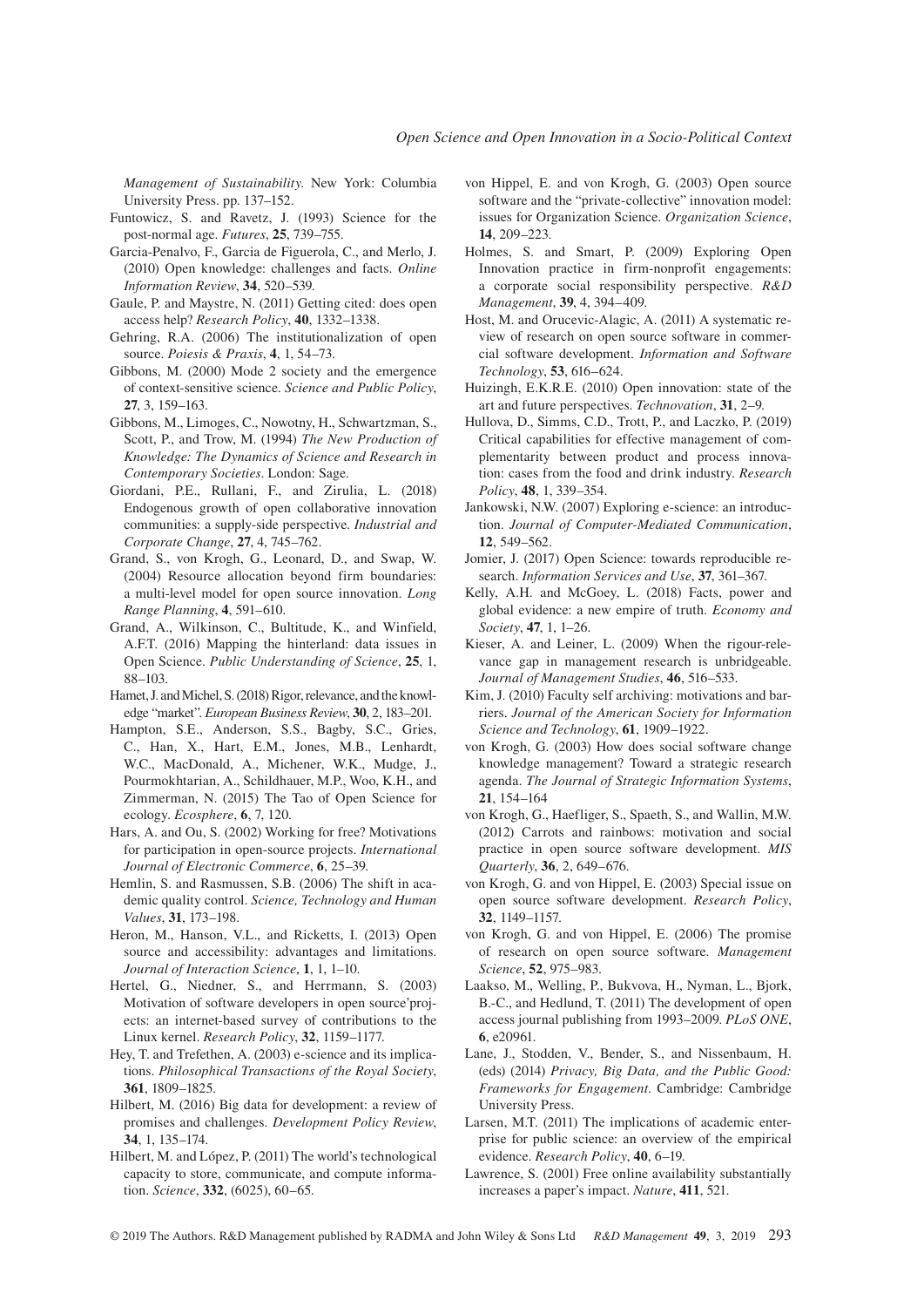*Management of Sustainability*. New York: Columbia University Press. pp. 137–152.

- Funtowicz, S. and Ravetz, J. (1993) Science for the post-normal age. *Futures*, **25**, 739–755.
- Garcia-Penalvo, F., Garcia de Figuerola, C., and Merlo, J. (2010) Open knowledge: challenges and facts. *Online Information Review*, **34**, 520–539.
- Gaule, P. and Maystre, N. (2011) Getting cited: does open access help? *Research Policy*, **40**, 1332–1338.
- Gehring, R.A. (2006) The institutionalization of open source. *Poiesis & Praxis*, **4**, 1, 54–73.
- Gibbons, M. (2000) Mode 2 society and the emergence of context-sensitive science. *Science and Public Policy*, **27**, 3, 159–163.
- Gibbons, M., Limoges, C., Nowotny, H., Schwartzman, S., Scott, P., and Trow, M. (1994) *The New Production of Knowledge: The Dynamics of Science and Research in Contemporary Societies*. London: Sage.
- Giordani, P.E., Rullani, F., and Zirulia, L. (2018) Endogenous growth of open collaborative innovation communities: a supply-side perspective. *Industrial and Corporate Change*, **27**, 4, 745–762.
- Grand, S., von Krogh, G., Leonard, D., and Swap, W. (2004) Resource allocation beyond firm boundaries: a multi-level model for open source innovation. *Long Range Planning*, **4**, 591–610.
- Grand, A., Wilkinson, C., Bultitude, K., and Winfield, A.F.T. (2016) Mapping the hinterland: data issues in Open Science. *Public Understanding of Science*, **25**, 1, 88–103.
- Hamet, J. and Michel, S. (2018) Rigor, relevance, and the knowledge "market". *European Business Review*, **30**, 2, 183–201.
- Hampton, S.E., Anderson, S.S., Bagby, S.C., Gries, C., Han, X., Hart, E.M., Jones, M.B., Lenhardt, W.C., MacDonald, A., Michener, W.K., Mudge, J., Pourmokhtarian, A., Schildhauer, M.P., Woo, K.H., and Zimmerman, N. (2015) The Tao of Open Science for ecology. *Ecosphere*, **6**, 7, 120.
- Hars, A. and Ou, S. (2002) Working for free? Motivations for participation in open-source projects. *International Journal of Electronic Commerce*, **6**, 25–39.
- Hemlin, S. and Rasmussen, S.B. (2006) The shift in academic quality control. *Science, Technology and Human Values*, **31**, 173–198.
- Heron, M., Hanson, V.L., and Ricketts, I. (2013) Open source and accessibility: advantages and limitations. *Journal of Interaction Science*, **1**, 1, 1–10.
- Hertel, G., Niedner, S., and Herrmann, S. (2003) Motivation of software developers in open source'projects: an internet-based survey of contributions to the Linux kernel. *Research Policy*, **32**, 1159–1177.
- Hey, T. and Trefethen, A. (2003) e-science and its implications. *Philosophical Transactions of the Royal Society*, **361**, 1809–1825.
- Hilbert, M. (2016) Big data for development: a review of promises and challenges. *Development Policy Review*, **34**, 1, 135–174.
- Hilbert, M. and López, P. (2011) The world's technological capacity to store, communicate, and compute information. *Science*, **332**, (6025), 60–65.
- von Hippel, E. and von Krogh, G. (2003) Open source software and the "private-collective" innovation model: issues for Organization Science. *Organization Science*, **14**, 209–223.
- Holmes, S. and Smart, P. (2009) Exploring Open Innovation practice in firm-nonprofit engagements: a corporate social responsibility perspective. *R&D Management*, **39**, 4, 394–409.
- Host, M. and Orucevic-Alagic, A. (2011) A systematic review of research on open source software in commercial software development. *Information and Software Technology*, **53**, 616–624.
- Huizingh, E.K.R.E. (2010) Open innovation: state of the art and future perspectives. *Technovation*, **31**, 2–9.
- Hullova, D., Simms, C.D., Trott, P., and Laczko, P. (2019) Critical capabilities for effective management of complementarity between product and process innovation: cases from the food and drink industry. *Research Policy*, **48**, 1, 339–354.
- Jankowski, N.W. (2007) Exploring e-science: an introduction. *Journal of Computer-Mediated Communication*, **12**, 549–562.
- Jomier, J. (2017) Open Science: towards reproducible research. *Information Services and Use*, **37**, 361–367.
- Kelly, A.H. and McGoey, L. (2018) Facts, power and global evidence: a new empire of truth. *Economy and Society*, **47**, 1, 1–26.
- Kieser, A. and Leiner, L. (2009) When the rigour-relevance gap in management research is unbridgeable. *Journal of Management Studies*, **46**, 516–533.
- Kim, J. (2010) Faculty self archiving: motivations and barriers. *Journal of the American Society for Information Science and Technology*, **61**, 1909–1922.
- von Krogh, G. (2003) How does social software change knowledge management? Toward a strategic research agenda. *The Journal of Strategic Information Systems*, **21**, 154–164
- von Krogh, G., Haefliger, S., Spaeth, S., and Wallin, M.W. (2012) Carrots and rainbows: motivation and social practice in open source software development. *MIS Quarterly*, **36**, 2, 649–676.
- von Krogh, G. and von Hippel, E. (2003) Special issue on open source software development. *Research Policy*, **32**, 1149–1157.
- von Krogh, G. and von Hippel, E. (2006) The promise of research on open source software. *Management Science*, **52**, 975–983.
- Laakso, M., Welling, P., Bukvova, H., Nyman, L., Bjork, B.-C., and Hedlund, T. (2011) The development of open access journal publishing from 1993–2009. *PLoS ONE*, **6**, e20961.
- Lane, J., Stodden, V., Bender, S., and Nissenbaum, H. (eds) (2014) *Privacy, Big Data, and the Public Good: Frameworks for Engagement*. Cambridge: Cambridge University Press.
- Larsen, M.T. (2011) The implications of academic enterprise for public science: an overview of the empirical evidence. *Research Policy*, **40**, 6–19.
- Lawrence, S. (2001) Free online availability substantially increases a paper's impact. *Nature*, **411**, 521.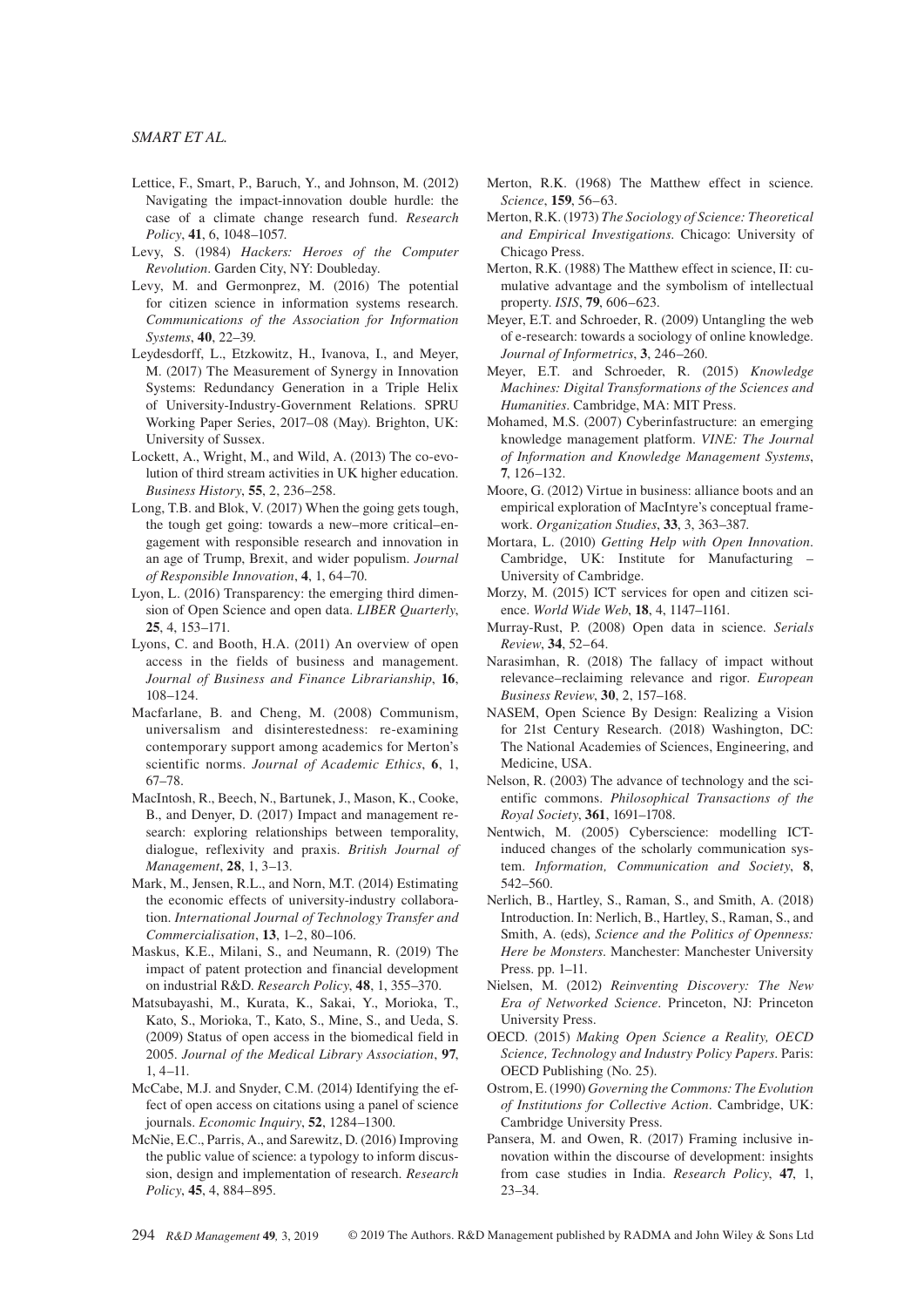- Lettice, F., Smart, P., Baruch, Y., and Johnson, M. (2012) Navigating the impact-innovation double hurdle: the case of a climate change research fund. *Research Policy*, **41**, 6, 1048–1057.
- Levy, S. (1984) *Hackers: Heroes of the Computer Revolution*. Garden City, NY: Doubleday.
- Levy, M. and Germonprez, M. (2016) The potential for citizen science in information systems research. *Communications of the Association for Information Systems*, **40**, 22–39.
- Leydesdorff, L., Etzkowitz, H., Ivanova, I., and Meyer, M. (2017) The Measurement of Synergy in Innovation Systems: Redundancy Generation in a Triple Helix of University-Industry-Government Relations. SPRU Working Paper Series, 2017–08 (May). Brighton, UK: University of Sussex.
- Lockett, A., Wright, M., and Wild, A. (2013) The co-evolution of third stream activities in UK higher education. *Business History*, **55**, 2, 236–258.
- Long, T.B. and Blok, V. (2017) When the going gets tough, the tough get going: towards a new–more critical–engagement with responsible research and innovation in an age of Trump, Brexit, and wider populism. *Journal of Responsible Innovation*, **4**, 1, 64–70.
- Lyon, L. (2016) Transparency: the emerging third dimension of Open Science and open data. *LIBER Quarterly*, **25**, 4, 153–171.
- Lyons, C. and Booth, H.A. (2011) An overview of open access in the fields of business and management. *Journal of Business and Finance Librarianship*, **16**, 108–124.
- Macfarlane, B. and Cheng, M. (2008) Communism, universalism and disinterestedness: re-examining contemporary support among academics for Merton's scientific norms. *Journal of Academic Ethics*, **6**, 1, 67–78.
- MacIntosh, R., Beech, N., Bartunek, J., Mason, K., Cooke, B., and Denyer, D. (2017) Impact and management research: exploring relationships between temporality, dialogue, reflexivity and praxis. *British Journal of Management*, **28**, 1, 3–13.
- Mark, M., Jensen, R.L., and Norn, M.T. (2014) Estimating the economic effects of university-industry collaboration. *International Journal of Technology Transfer and Commercialisation*, **13**, 1–2, 80–106.
- Maskus, K.E., Milani, S., and Neumann, R. (2019) The impact of patent protection and financial development on industrial R&D. *Research Policy*, **48**, 1, 355–370.
- Matsubayashi, M., Kurata, K., Sakai, Y., Morioka, T., Kato, S., Morioka, T., Kato, S., Mine, S., and Ueda, S. (2009) Status of open access in the biomedical field in 2005. *Journal of the Medical Library Association*, **97**, 1, 4–11.
- McCabe, M.J. and Snyder, C.M. (2014) Identifying the effect of open access on citations using a panel of science journals. *Economic Inquiry*, **52**, 1284–1300.
- McNie, E.C., Parris, A., and Sarewitz, D. (2016) Improving the public value of science: a typology to inform discussion, design and implementation of research. *Research Policy*, **45**, 4, 884–895.
- Merton, R.K. (1968) The Matthew effect in science. *Science*, **159**, 56–63.
- Merton, R.K. (1973) *The Sociology of Science: Theoretical and Empirical Investigations*. Chicago: University of Chicago Press.
- Merton, R.K. (1988) The Matthew effect in science, II: cumulative advantage and the symbolism of intellectual property. *ISIS*, **79**, 606–623.
- Meyer, E.T. and Schroeder, R. (2009) Untangling the web of e-research: towards a sociology of online knowledge. *Journal of Informetrics*, **3**, 246–260.
- Meyer, E.T. and Schroeder, R. (2015) *Knowledge Machines: Digital Transformations of the Sciences and Humanities*. Cambridge, MA: MIT Press.
- Mohamed, M.S. (2007) Cyberinfastructure: an emerging knowledge management platform. *VINE: The Journal of Information and Knowledge Management Systems*, **7**, 126–132.
- Moore, G. (2012) Virtue in business: alliance boots and an empirical exploration of MacIntyre's conceptual framework. *Organization Studies*, **33**, 3, 363–387.
- Mortara, L. (2010) *Getting Help with Open Innovation*. Cambridge, UK: Institute for Manufacturing – University of Cambridge.
- Morzy, M. (2015) ICT services for open and citizen science. *World Wide Web*, **18**, 4, 1147–1161.
- Murray-Rust, P. (2008) Open data in science. *Serials Review*, **34**, 52–64.
- Narasimhan, R. (2018) The fallacy of impact without relevance–reclaiming relevance and rigor. *European Business Review*, **30**, 2, 157–168.
- NASEM, Open Science By Design: Realizing a Vision for 21st Century Research. (2018) Washington, DC: The National Academies of Sciences, Engineering, and Medicine, USA.
- Nelson, R. (2003) The advance of technology and the scientific commons. *Philosophical Transactions of the Royal Society*, **361**, 1691–1708.
- Nentwich, M. (2005) Cyberscience: modelling ICTinduced changes of the scholarly communication system. *Information, Communication and Society*, **8**, 542–560.
- Nerlich, B., Hartley, S., Raman, S., and Smith, A. (2018) Introduction. In: Nerlich, B., Hartley, S., Raman, S., and Smith, A. (eds), *Science and the Politics of Openness: Here be Monsters*. Manchester: Manchester University Press. pp. 1–11.
- Nielsen, M. (2012) *Reinventing Discovery: The New Era of Networked Science*. Princeton, NJ: Princeton University Press.
- OECD. (2015) *Making Open Science a Reality, OECD Science, Technology and Industry Policy Papers*. Paris: OECD Publishing (No. 25).
- Ostrom, E. (1990) *Governing the Commons: The Evolution of Institutions for Collective Action*. Cambridge, UK: Cambridge University Press.
- Pansera, M. and Owen, R. (2017) Framing inclusive innovation within the discourse of development: insights from case studies in India. *Research Policy*, **47**, 1, 23–34.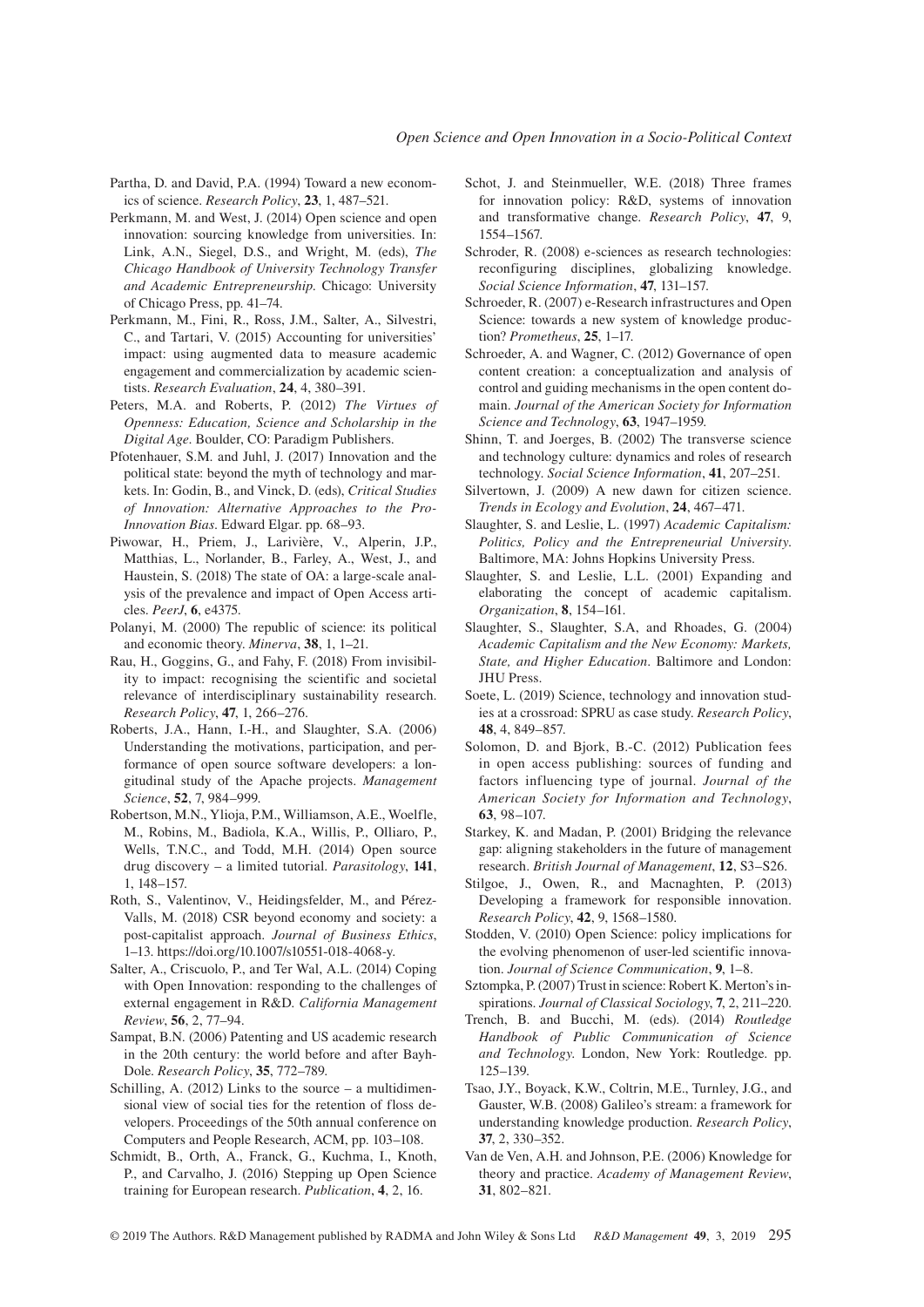- Partha, D. and David, P.A. (1994) Toward a new economics of science. *Research Policy*, **23**, 1, 487–521.
- Perkmann, M. and West, J. (2014) Open science and open innovation: sourcing knowledge from universities. In: Link, A.N., Siegel, D.S., and Wright, M. (eds), *The Chicago Handbook of University Technology Transfer and Academic Entrepreneurship*. Chicago: University of Chicago Press, pp. 41–74.
- Perkmann, M., Fini, R., Ross, J.M., Salter, A., Silvestri, C., and Tartari, V. (2015) Accounting for universities' impact: using augmented data to measure academic engagement and commercialization by academic scientists. *Research Evaluation*, **24**, 4, 380–391.
- Peters, M.A. and Roberts, P. (2012) *The Virtues of Openness: Education, Science and Scholarship in the Digital Age*. Boulder, CO: Paradigm Publishers.
- Pfotenhauer, S.M. and Juhl, J. (2017) Innovation and the political state: beyond the myth of technology and markets. In: Godin, B., and Vinck, D. (eds), *Critical Studies of Innovation: Alternative Approaches to the Pro-Innovation Bias*. Edward Elgar. pp. 68–93.
- Piwowar, H., Priem, J., Larivière, V., Alperin, J.P., Matthias, L., Norlander, B., Farley, A., West, J., and Haustein, S. (2018) The state of OA: a large-scale analysis of the prevalence and impact of Open Access articles. *PeerJ*, **6**, e4375.
- Polanyi, M. (2000) The republic of science: its political and economic theory. *Minerva*, **38**, 1, 1–21.
- Rau, H., Goggins, G., and Fahy, F. (2018) From invisibility to impact: recognising the scientific and societal relevance of interdisciplinary sustainability research. *Research Policy*, **47**, 1, 266–276.
- Roberts, J.A., Hann, I.-H., and Slaughter, S.A. (2006) Understanding the motivations, participation, and performance of open source software developers: a longitudinal study of the Apache projects. *Management Science*, **52**, 7, 984–999.
- Robertson, M.N., Ylioja, P.M., Williamson, A.E., Woelfle, M., Robins, M., Badiola, K.A., Willis, P., Olliaro, P., Wells, T.N.C., and Todd, M.H. (2014) Open source drug discovery – a limited tutorial. *Parasitology*, **141**, 1, 148–157.
- Roth, S., Valentinov, V., Heidingsfelder, M., and Pérez-Valls, M. (2018) CSR beyond economy and society: a post-capitalist approach. *Journal of Business Ethics*, 1–13. [https://doi.org/10.1007/s10551-018-4068-y.](https://doi.org/10.1007/s10551-018-4068-y)
- Salter, A., Criscuolo, P., and Ter Wal, A.L. (2014) Coping with Open Innovation: responding to the challenges of external engagement in R&D. *California Management Review*, **56**, 2, 77–94.
- Sampat, B.N. (2006) Patenting and US academic research in the 20th century: the world before and after Bayh-Dole. *Research Policy*, **35**, 772–789.
- Schilling, A. (2012) Links to the source a multidimensional view of social ties for the retention of floss developers. Proceedings of the 50th annual conference on Computers and People Research, ACM, pp. 103–108.
- Schmidt, B., Orth, A., Franck, G., Kuchma, I., Knoth, P., and Carvalho, J. (2016) Stepping up Open Science training for European research. *Publication*, **4**, 2, 16.
- Schot, J. and Steinmueller, W.E. (2018) Three frames for innovation policy: R&D, systems of innovation and transformative change. *Research Policy*, **47**, 9, 1554–1567.
- Schroder, R. (2008) e-sciences as research technologies: reconfiguring disciplines, globalizing knowledge. *Social Science Information*, **47**, 131–157.
- Schroeder, R. (2007) e-Research infrastructures and Open Science: towards a new system of knowledge production? *Prometheus*, **25**, 1–17.
- Schroeder, A. and Wagner, C. (2012) Governance of open content creation: a conceptualization and analysis of control and guiding mechanisms in the open content domain. *Journal of the American Society for Information Science and Technology*, **63**, 1947–1959.
- Shinn, T. and Joerges, B. (2002) The transverse science and technology culture: dynamics and roles of research technology. *Social Science Information*, **41**, 207–251.
- Silvertown, J. (2009) A new dawn for citizen science. *Trends in Ecology and Evolution*, **24**, 467–471.
- Slaughter, S. and Leslie, L. (1997) *Academic Capitalism: Politics, Policy and the Entrepreneurial University*. Baltimore, MA: Johns Hopkins University Press.
- Slaughter, S. and Leslie, L.L. (2001) Expanding and elaborating the concept of academic capitalism. *Organization*, **8**, 154–161.
- Slaughter, S., Slaughter, S.A, and Rhoades, G. (2004) *Academic Capitalism and the New Economy: Markets, State, and Higher Education*. Baltimore and London: JHU Press.
- Soete, L. (2019) Science, technology and innovation studies at a crossroad: SPRU as case study. *Research Policy*, **48**, 4, 849–857.
- Solomon, D. and Bjork, B.-C. (2012) Publication fees in open access publishing: sources of funding and factors influencing type of journal. *Journal of the American Society for Information and Technology*, **63**, 98–107.
- Starkey, K. and Madan, P. (2001) Bridging the relevance gap: aligning stakeholders in the future of management research. *British Journal of Management*, **12**, S3–S26.
- Stilgoe, J., Owen, R., and Macnaghten, P. (2013) Developing a framework for responsible innovation. *Research Policy*, **42**, 9, 1568–1580.
- Stodden, V. (2010) Open Science: policy implications for the evolving phenomenon of user-led scientific innovation. *Journal of Science Communication*, **9**, 1–8.
- Sztompka, P. (2007) Trust in science: Robert K. Merton's inspirations. *Journal of Classical Sociology*, **7**, 2, 211–220.
- Trench, B. and Bucchi, M. (eds). (2014) *Routledge Handbook of Public Communication of Science and Technology*. London, New York: Routledge. pp. 125–139.
- Tsao, J.Y., Boyack, K.W., Coltrin, M.E., Turnley, J.G., and Gauster, W.B. (2008) Galileo's stream: a framework for understanding knowledge production. *Research Policy*, **37**, 2, 330–352.
- Van de Ven, A.H. and Johnson, P.E. (2006) Knowledge for theory and practice. *Academy of Management Review*, **31**, 802–821.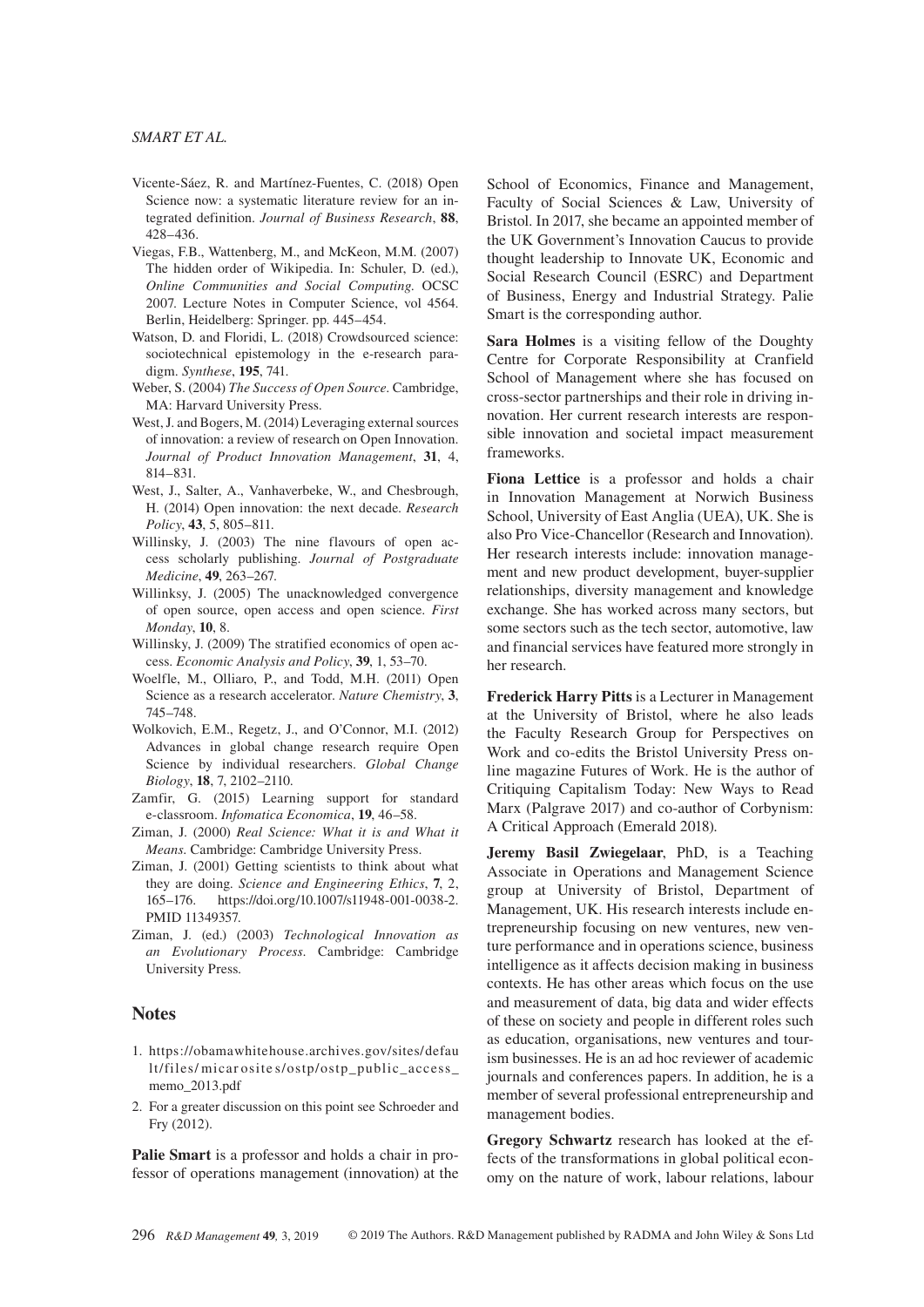- Vicente-Sáez, R. and Martínez-Fuentes, C. (2018) Open Science now: a systematic literature review for an integrated definition. *Journal of Business Research*, **88**, 428–436.
- Viegas, F.B., Wattenberg, M., and McKeon, M.M. (2007) The hidden order of Wikipedia. In: Schuler, D. (ed.), *Online Communities and Social Computing*. OCSC 2007. Lecture Notes in Computer Science, vol 4564. Berlin, Heidelberg: Springer. pp. 445–454.
- Watson, D. and Floridi, L. (2018) Crowdsourced science: sociotechnical epistemology in the e-research paradigm. *Synthese*, **195**, 741.
- Weber, S. (2004) *The Success of Open Source*. Cambridge, MA: Harvard University Press.
- West, J. and Bogers, M. (2014) Leveraging external sources of innovation: a review of research on Open Innovation. *Journal of Product Innovation Management*, **31**, 4, 814–831.
- West, J., Salter, A., Vanhaverbeke, W., and Chesbrough, H. (2014) Open innovation: the next decade. *Research Policy*, **43**, 5, 805–811.
- Willinsky, J. (2003) The nine flavours of open access scholarly publishing. *Journal of Postgraduate Medicine*, **49**, 263–267.
- Willinksy, J. (2005) The unacknowledged convergence of open source, open access and open science. *First Monday*, **10**, 8.
- Willinsky, J. (2009) The stratified economics of open access. *Economic Analysis and Policy*, **39**, 1, 53–70.
- Woelfle, M., Olliaro, P., and Todd, M.H. (2011) Open Science as a research accelerator. *Nature Chemistry*, **3**, 745–748.
- Wolkovich, E.M., Regetz, J., and O'Connor, M.I. (2012) Advances in global change research require Open Science by individual researchers. *Global Change Biology*, **18**, 7, 2102–2110.
- Zamfir, G. (2015) Learning support for standard e-classroom. *Infomatica Economica*, **19**, 46–58.
- Ziman, J. (2000) *Real Science: What it is and What it Means*. Cambridge: Cambridge University Press.
- Ziman, J. (2001) Getting scientists to think about what they are doing. *Science and Engineering Ethics*, **7**, 2, 165–176. <https://doi.org/10.1007/s11948-001-0038-2>. PMID 11349357.
- Ziman, J. (ed.) (2003) *Technological Innovation as an Evolutionary Process*. Cambridge: Cambridge University Press.

# **Notes**

- 1. [https://obamawhitehouse.archives.gov/sites/defau](https://obamawhitehouse.archives.gov/sites/default/files/micarosites/ostp/ostp_public_access_memo_2013.pdf) lt/files/ micar osite [s/ostp/ostp\\_public\\_access\\_](https://obamawhitehouse.archives.gov/sites/default/files/micarosites/ostp/ostp_public_access_memo_2013.pdf) [memo\\_2013.pdf](https://obamawhitehouse.archives.gov/sites/default/files/micarosites/ostp/ostp_public_access_memo_2013.pdf)
- 2. For a greater discussion on this point see Schroeder and Fry (2012).

**Palie Smart** is a professor and holds a chair in professor of operations management (innovation) at the School of Economics, Finance and Management, Faculty of Social Sciences & Law, University of Bristol. In 2017, she became an appointed member of the UK Government's Innovation Caucus to provide thought leadership to Innovate UK, Economic and Social Research Council (ESRC) and Department of Business, Energy and Industrial Strategy. Palie Smart is the corresponding author.

**Sara Holmes** is a visiting fellow of the Doughty Centre for Corporate Responsibility at Cranfield School of Management where she has focused on cross-sector partnerships and their role in driving innovation. Her current research interests are responsible innovation and societal impact measurement frameworks.

**Fiona Lettice** is a professor and holds a chair in Innovation Management at Norwich Business School, University of East Anglia (UEA), UK. She is also Pro Vice-Chancellor (Research and Innovation). Her research interests include: innovation management and new product development, buyer-supplier relationships, diversity management and knowledge exchange. She has worked across many sectors, but some sectors such as the tech sector, automotive, law and financial services have featured more strongly in her research.

**Frederick Harry Pitts** is a Lecturer in Management at the University of Bristol, where he also leads the Faculty Research Group for Perspectives on Work and co-edits the Bristol University Press online magazine Futures of Work. He is the author of Critiquing Capitalism Today: New Ways to Read Marx (Palgrave 2017) and co-author of Corbynism: A Critical Approach (Emerald 2018).

**Jeremy Basil Zwiegelaar**, PhD, is a Teaching Associate in Operations and Management Science group at University of Bristol, Department of Management, UK. His research interests include entrepreneurship focusing on new ventures, new venture performance and in operations science, business intelligence as it affects decision making in business contexts. He has other areas which focus on the use and measurement of data, big data and wider effects of these on society and people in different roles such as education, organisations, new ventures and tourism businesses. He is an ad hoc reviewer of academic journals and conferences papers. In addition, he is a member of several professional entrepreneurship and management bodies.

**Gregory Schwartz** research has looked at the effects of the transformations in global political economy on the nature of work, labour relations, labour